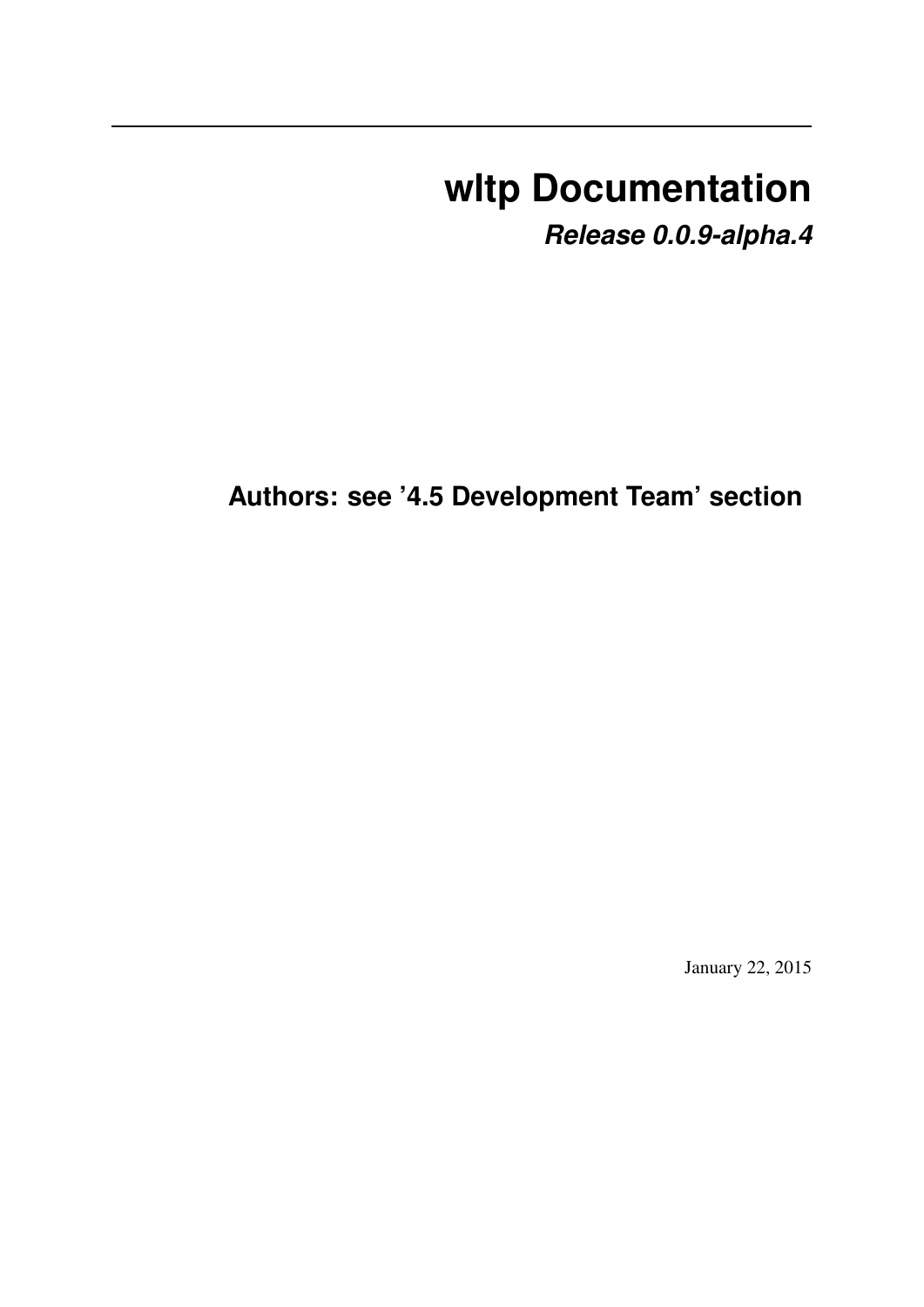# **wltp Documentation**

*Release 0.0.9-alpha.4*

**Authors: see '4.5 Development Team' section**

January 22, 2015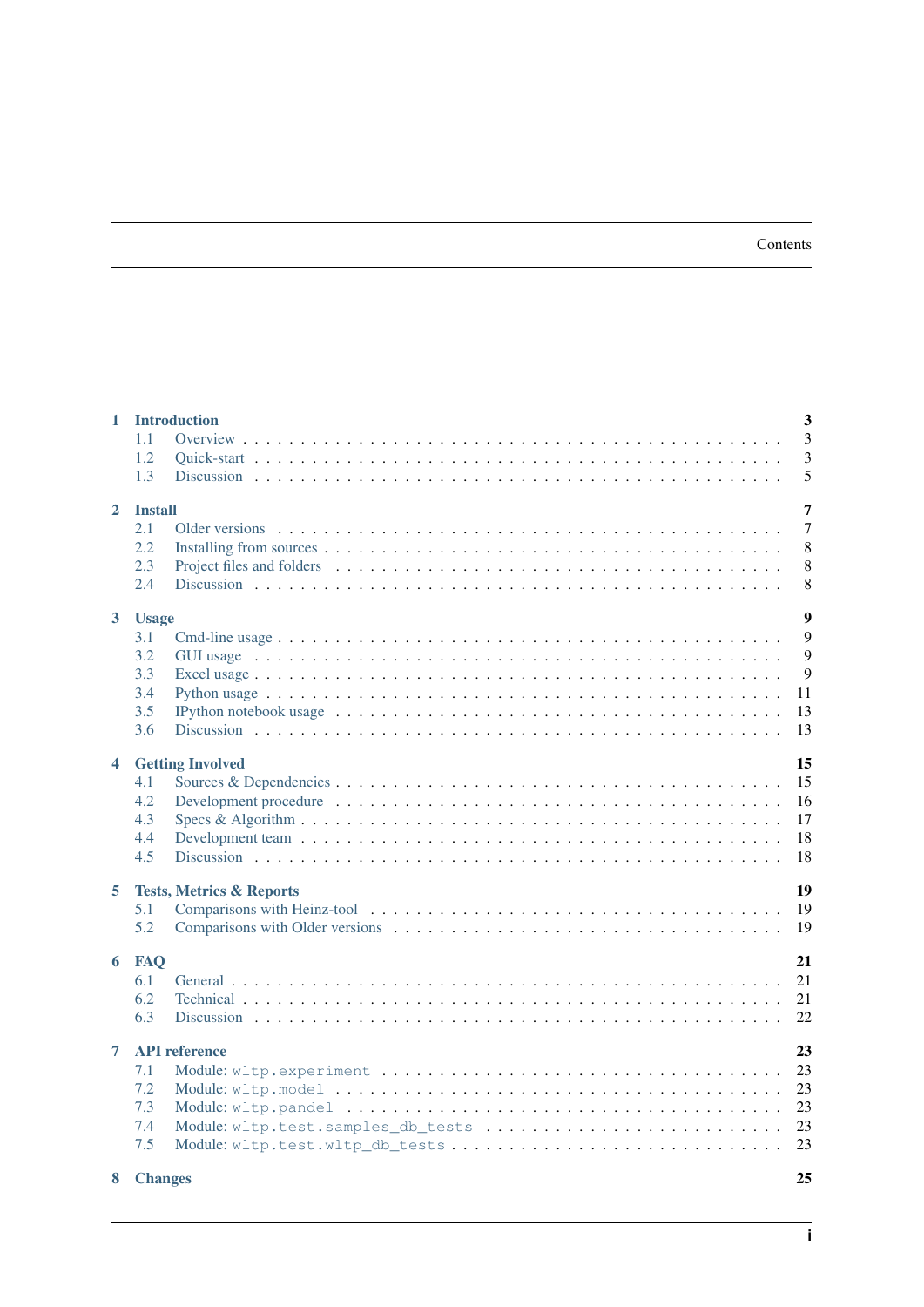#### Contents

| $\mathbf{1}$            | <b>Introduction</b><br>1.1<br>1.2<br>1.3                                                                                                                                           | $\overline{\mathbf{3}}$<br>3<br>$\overline{3}$<br>5 |
|-------------------------|------------------------------------------------------------------------------------------------------------------------------------------------------------------------------------|-----------------------------------------------------|
| $\mathbf{2}$            | <b>Install</b><br>2.1<br>2.2<br>2.3<br>2.4                                                                                                                                         | 7<br>$\tau$<br>8<br>8<br>8                          |
| 3 <sup>1</sup>          | <b>Usage</b><br>3.1<br>3.2<br>3.3<br>3.4<br>3.5<br>IPython notebook usage $\dots \dots \dots \dots \dots \dots \dots \dots \dots \dots \dots \dots \dots \dots \dots \dots$<br>3.6 | $\boldsymbol{9}$<br>9<br>9<br>9<br>11<br>13<br>13   |
| $\overline{\mathbf{4}}$ | <b>Getting Involved</b><br>4.1<br>4.2<br>4.3<br>4.4<br>4.5                                                                                                                         | 15<br>15<br>16<br>17<br>18<br>18                    |
| 5                       | <b>Tests, Metrics &amp; Reports</b><br>5.1<br>5.2                                                                                                                                  | 19<br>19<br>19                                      |
| 6                       | <b>FAQ</b><br>6.1<br>6.2<br>6.3                                                                                                                                                    | 21<br>21<br>21<br>22                                |
| $\overline{7}$<br>8     | <b>API</b> reference<br>7.1<br>7.2<br>7.3<br>7.4<br>Module: wltp.test.samples_db_tests<br>7.5<br><b>Changes</b>                                                                    | 23<br>23<br>23<br>23<br>23<br>23<br>25              |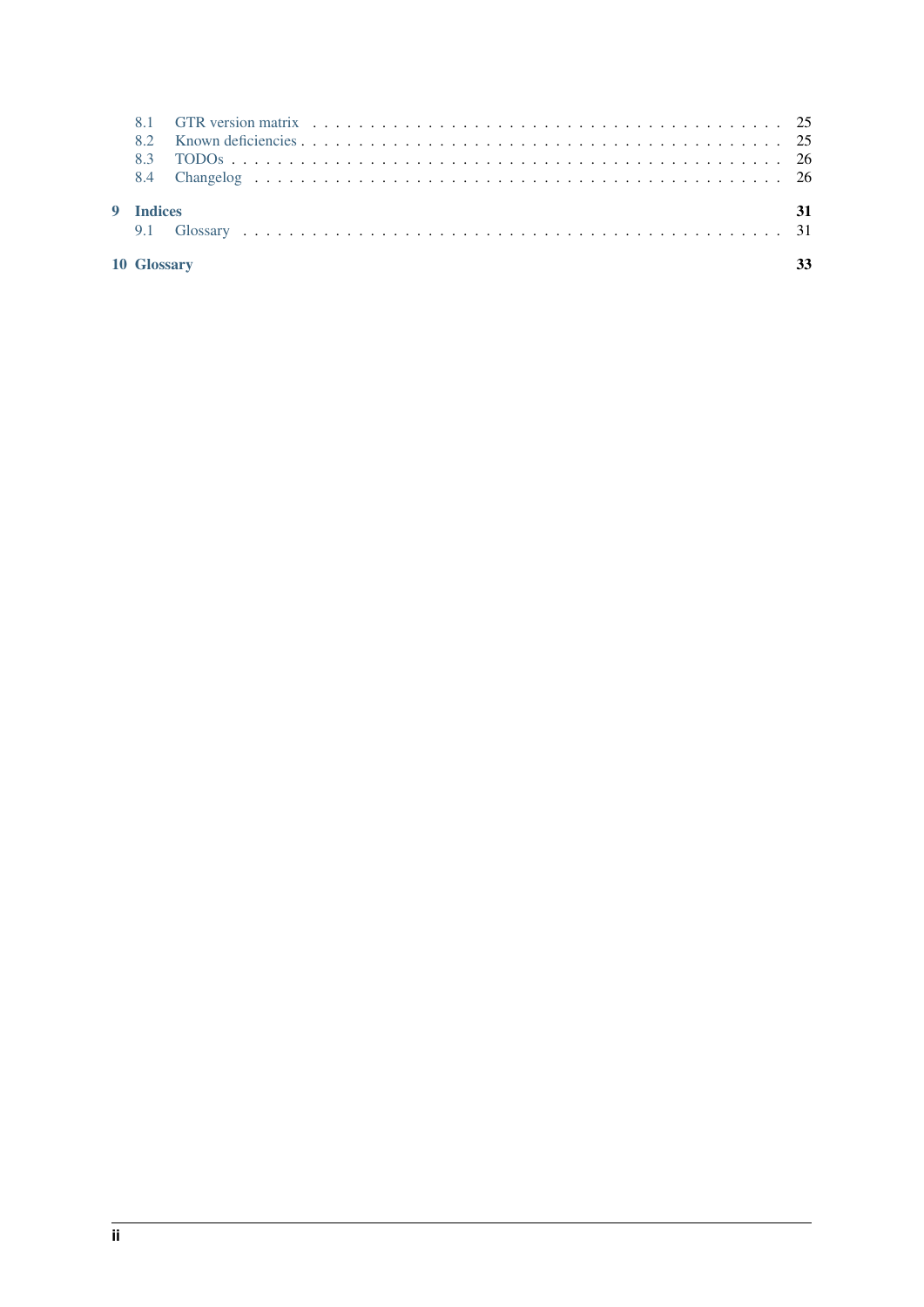| 10 Glossary |  |
|-------------|--|
| 9 Indices   |  |
|             |  |
|             |  |
|             |  |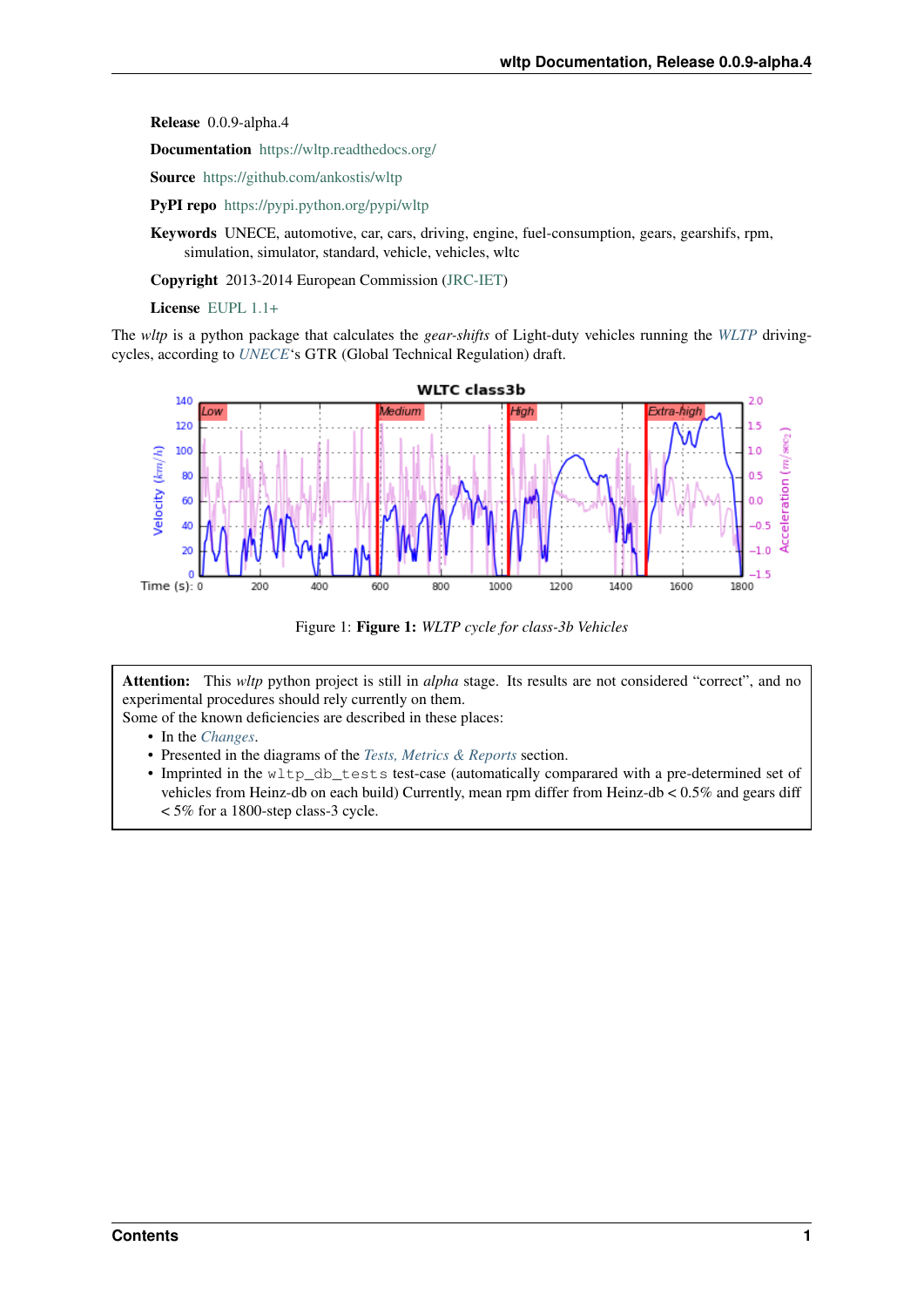Release 0.0.9-alpha.4

Documentation <https://wltp.readthedocs.org/>

Source <https://github.com/ankostis/wltp>

PyPI repo <https://pypi.python.org/pypi/wltp>

Keywords UNECE, automotive, car, cars, driving, engine, fuel-consumption, gears, gearshifs, rpm, simulation, simulator, standard, vehicle, vehicles, wltc

Copyright 2013-2014 European Commission [\(JRC-IET\)](http://iet.jrc.ec.europa.eu/)

License [EUPL 1.1+](https://joinup.ec.europa.eu/software/page/eupl)

The *wltp* is a python package that calculates the *gear-shifts* of Light-duty vehicles running the *[WLTP](#page-34-2)* drivingcycles, according to *[UNECE](#page-34-3)*'s GTR (Global Technical Regulation) draft.



Figure 1: Figure 1: *WLTP cycle for class-3b Vehicles*

Attention: This *wltp* python project is still in *alpha* stage. Its results are not considered "correct", and no experimental procedures should rely currently on them.

Some of the known deficiencies are described in these places:

- In the *[Changes](#page-28-0)*.
- Presented in the diagrams of the *[Tests, Metrics & Reports](#page-22-0)* section.
- Imprinted in the wltp\_db\_tests test-case (automatically comparared with a pre-determined set of vehicles from Heinz-db on each build) Currently, mean rpm differ from Heinz-db < 0.5% and gears diff < 5% for a 1800-step class-3 cycle.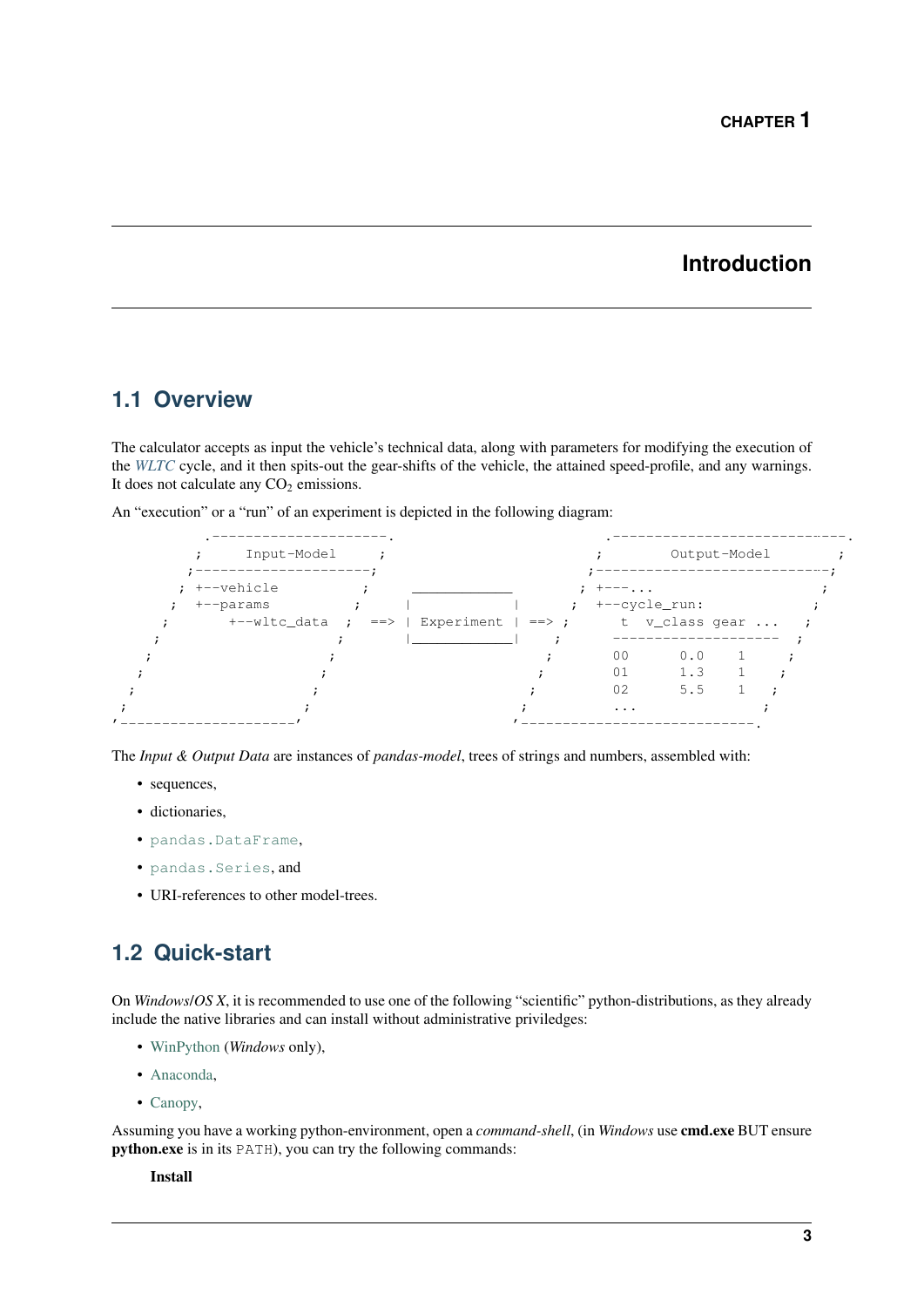### **Introduction**

### <span id="page-6-3"></span><span id="page-6-1"></span><span id="page-6-0"></span>**1.1 Overview**

The calculator accepts as input the vehicle's technical data, along with parameters for modifying the execution of the *[WLTC](#page-34-4)* cycle, and it then spits-out the gear-shifts of the vehicle, the attained speed-profile, and any warnings. It does not calculate any  $CO<sub>2</sub>$  emissions.

An "execution" or a "run" of an experiment is depicted in the following diagram:



The *Input & Output Data* are instances of *pandas-model*, trees of strings and numbers, assembled with:

- sequences,
- dictionaries,
- [pandas.DataFrame](http://pandas.pydata.org/pandas-docs/dev/generated/pandas.DataFrame.html#pandas.DataFrame),
- [pandas.Series](http://pandas.pydata.org/pandas-docs/dev/generated/pandas.Series.html#pandas.Series), and
- URI-references to other model-trees.

## <span id="page-6-2"></span>**1.2 Quick-start**

On *Windows*/*OS X*, it is recommended to use one of the following "scientific" python-distributions, as they already include the native libraries and can install without administrative priviledges:

- [WinPython](http://winpython.github.io/) (*Windows* only),
- [Anaconda,](http://docs.continuum.io/anaconda/)
- [Canopy,](https://www.enthought.com/products/canopy/)

Assuming you have a working python-environment, open a *command-shell*, (in *Windows* use cmd.exe BUT ensure python.exe is in its PATH), you can try the following commands:

#### Install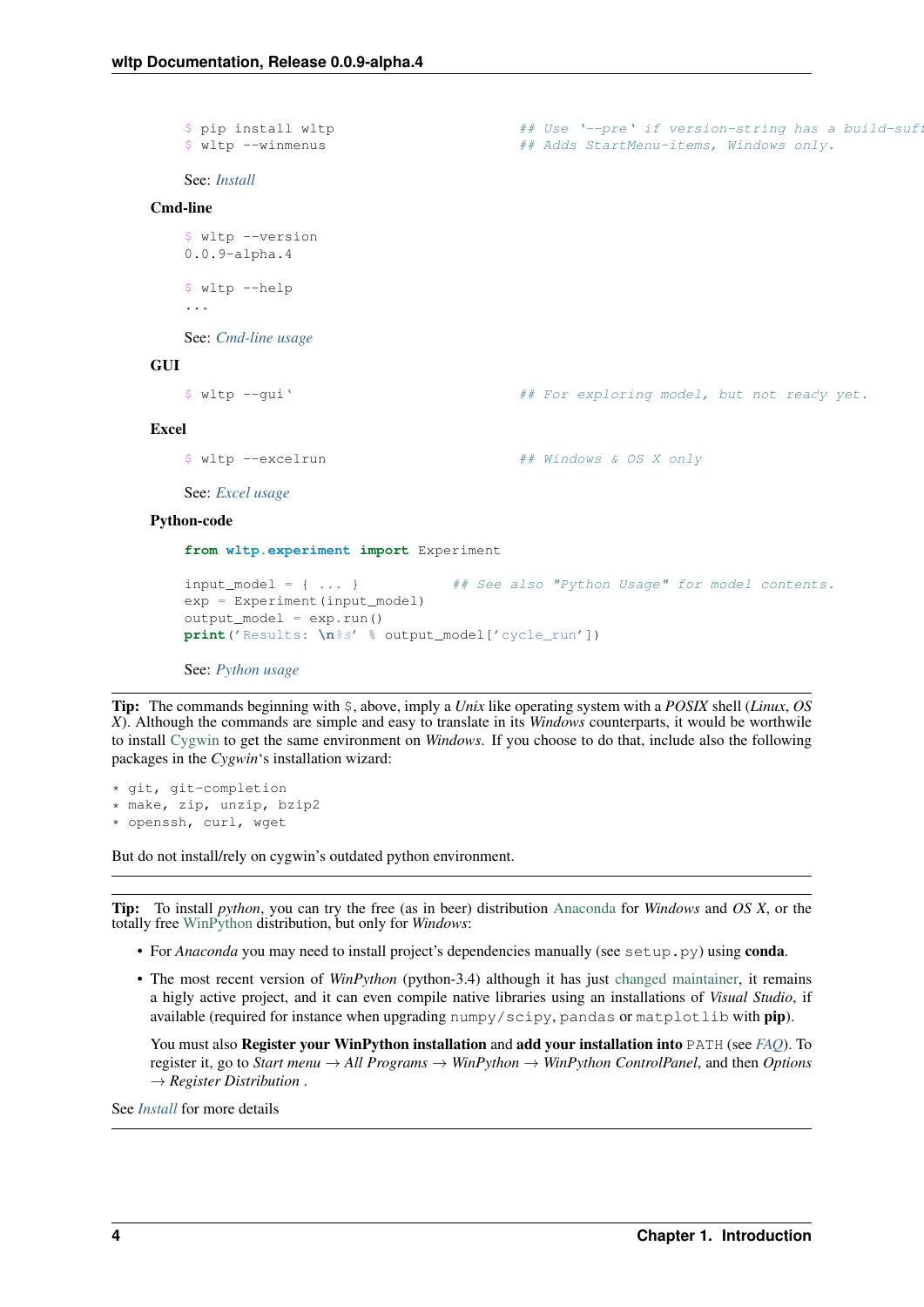```
$ pip install wltp # # Use '--pre' if version-string has a build-suf.
   $ wltp --winmenus ## Adds StartMenu-items, Windows only.
   See: Install
Cmd-line
   $ wltp --version
   0.0.9-alpha.4
   $ wltp --help
   ...
   See: Cmd-line usage
GUI
   $ wltp --gui' ## For exploring model, but not ready yet.
Excel
   $ wltp --excelrun ## Windows & OS X only
   See: Excel usage
Python-code
```

```
from wltp.experiment import Experiment
```

```
input_model = { ... } ## See also "Python Usage" for model contents.
exp = Experiment(input_model)
output_model = exp.run()
print('Results: \n%s' % output_model['cycle_run'])
```
See: *[Python usage](#page-14-0)*

Tip: The commands beginning with \$, above, imply a *Unix* like operating system with a *POSIX* shell (*Linux*, *OS X*). Although the commands are simple and easy to translate in its *Windows* counterparts, it would be worthwile to install [Cygwin](https://www.cygwin.com/) to get the same environment on *Windows*. If you choose to do that, include also the following packages in the *Cygwin*'s installation wizard:

```
* git, git-completion
* make, zip, unzip, bzip2
* openssh, curl, wget
```
But do not install/rely on cygwin's outdated python environment.

Tip: To install *python*, you can try the free (as in beer) distribution [Anaconda](http://docs.continuum.io/anaconda/pkg-docs.html) for *Windows* and *OS X*, or the totally free [WinPython](http://winpython.sourceforge.net/) distribution, but only for *Windows*:

- For *Anaconda* you may need to install project's dependencies manually (see setup.py) using **conda**.
- The most recent version of *WinPython* (python-3.4) although it has just [changed maintainer,](http://sourceforge.net/projects/stonebig.u/files/) it remains a higly active project, and it can even compile native libraries using an installations of *Visual Studio*, if available (required for instance when upgrading numpy/scipy, pandas or matplotlib with pip).

You must also Register your WinPython installation and add your installation into PATH (see *[FAQ](#page-24-0)*). To register it, go to *Start menu* → *All Programs* → *WinPython* → *WinPython ControlPanel*, and then *Options* → *Register Distribution* .

See *[Install](#page-10-0)* for more details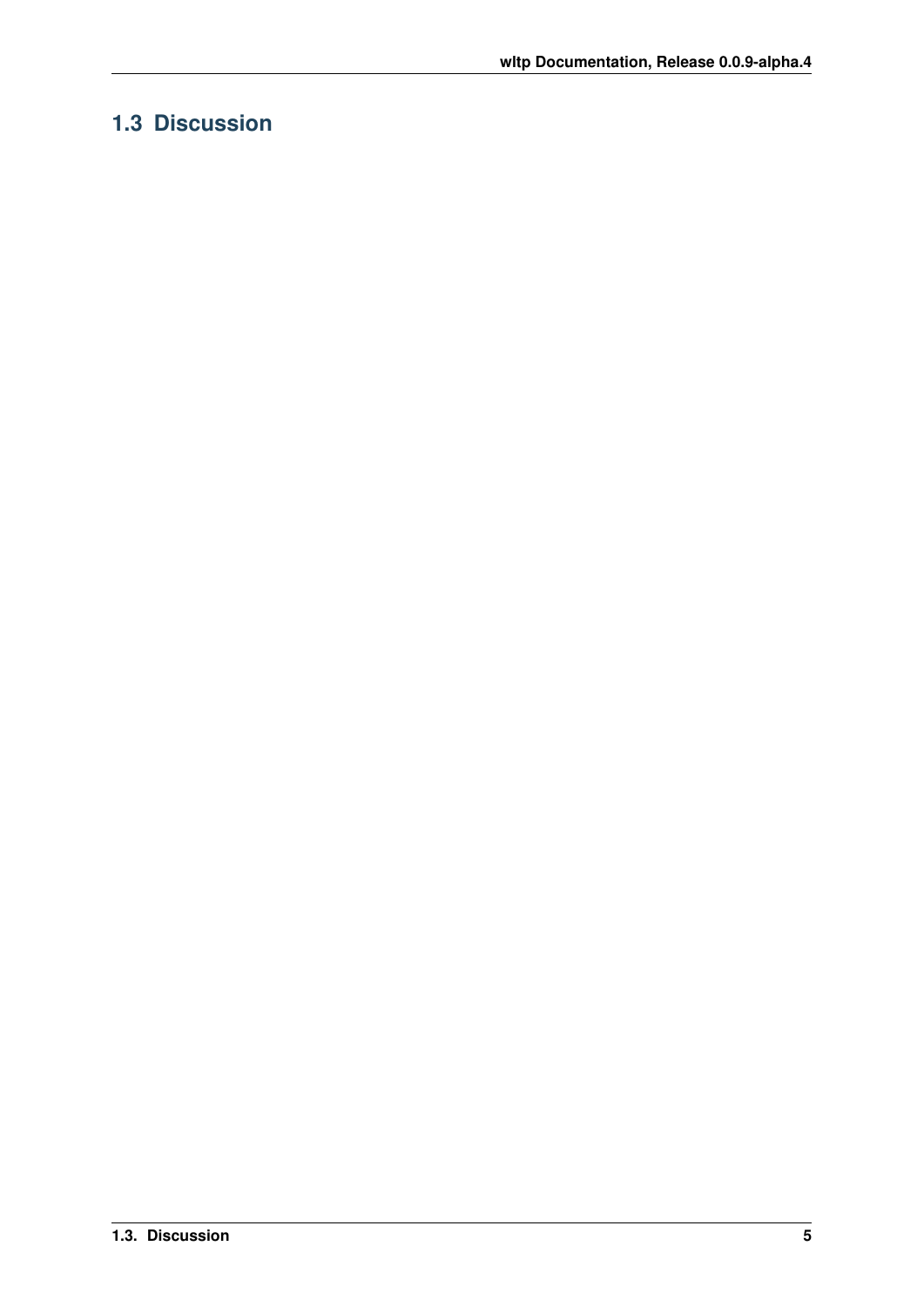## <span id="page-8-0"></span>**1.3 Discussion**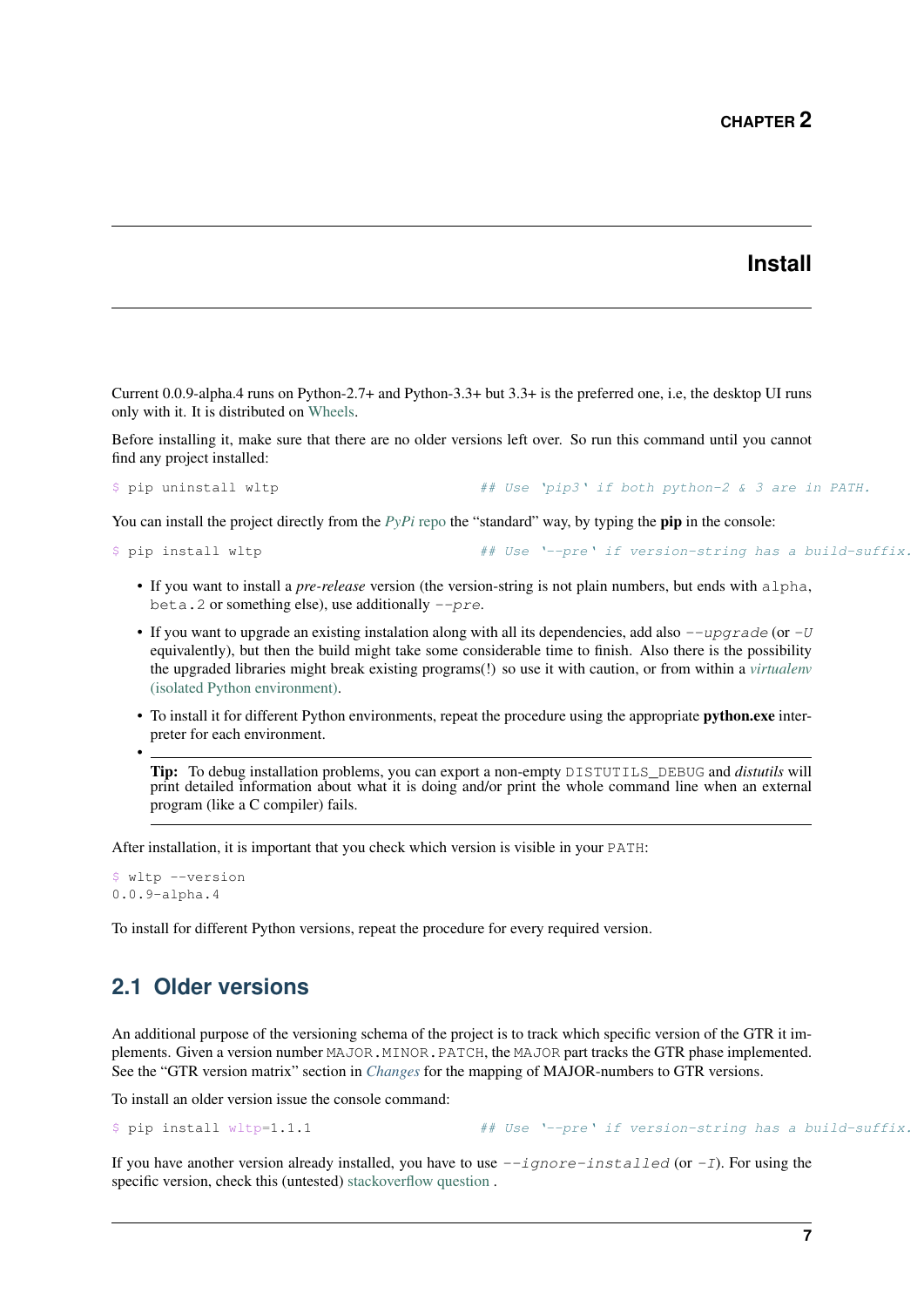#### **Install**

<span id="page-10-2"></span><span id="page-10-0"></span>Current 0.0.9-alpha.4 runs on Python-2.7+ and Python-3.3+ but 3.3+ is the preferred one, i.e, the desktop UI runs only with it. It is distributed on [Wheels.](https://pypi.python.org/pypi/wheel)

Before installing it, make sure that there are no older versions left over. So run this command until you cannot find any project installed:

```
$ pip uninstall wltp ## Use 'pip3' if both python-2 & 3 are in PATH.
```
You can install the project directly from the  $PvPi$  repo the "standard" way, by typing the **pip** in the console:

```
$ pip install wltp # Use '--pre' if version-string has a build-suffix.
```
- If you want to install a *pre-release* version (the version-string is not plain numbers, but ends with alpha, beta. 2 or something else), use additionally  $-pre$ .
- If you want to upgrade an existing instalation along with all its dependencies, add also  $-\mu$  *upgrade* (or  $-U$ equivalently), but then the build might take some considerable time to finish. Also there is the possibility the upgraded libraries might break existing programs(!) so use it with caution, or from within a *[virtualenv](http://docs.python-guide.org/en/latest/dev/virtualenvs/)* [\(isolated Python environment\).](http://docs.python-guide.org/en/latest/dev/virtualenvs/)
- To install it for different Python environments, repeat the procedure using the appropriate **python.exe** interpreter for each environment.

Tip: To debug installation problems, you can export a non-empty DISTUTILS\_DEBUG and *distutils* will print detailed information about what it is doing and/or print the whole command line when an external program (like a C compiler) fails.

After installation, it is important that you check which version is visible in your PATH:

```
$ wltp --version
0.0.9-alpha.4
```
•

To install for different Python versions, repeat the procedure for every required version.

### <span id="page-10-1"></span>**2.1 Older versions**

An additional purpose of the versioning schema of the project is to track which specific version of the GTR it implements. Given a version number MAJOR.MINOR.PATCH, the MAJOR part tracks the GTR phase implemented. See the "GTR version matrix" section in *[Changes](#page-28-0)* for the mapping of MAJOR-numbers to GTR versions.

To install an older version issue the console command:

\$ pip install wltp=1.1.1  $#$  Use '--pre' if version-string has a build-suffix.

If you have another version already installed, you have to use  $-iqnore-installed$  (or  $-I$ ). For using the specific version, check this (untested) [stackoverflow question](http://stackoverflow.com/questions/6445167/force-python-to-use-an-older-version-of-module-than-what-i-have-installed-now) .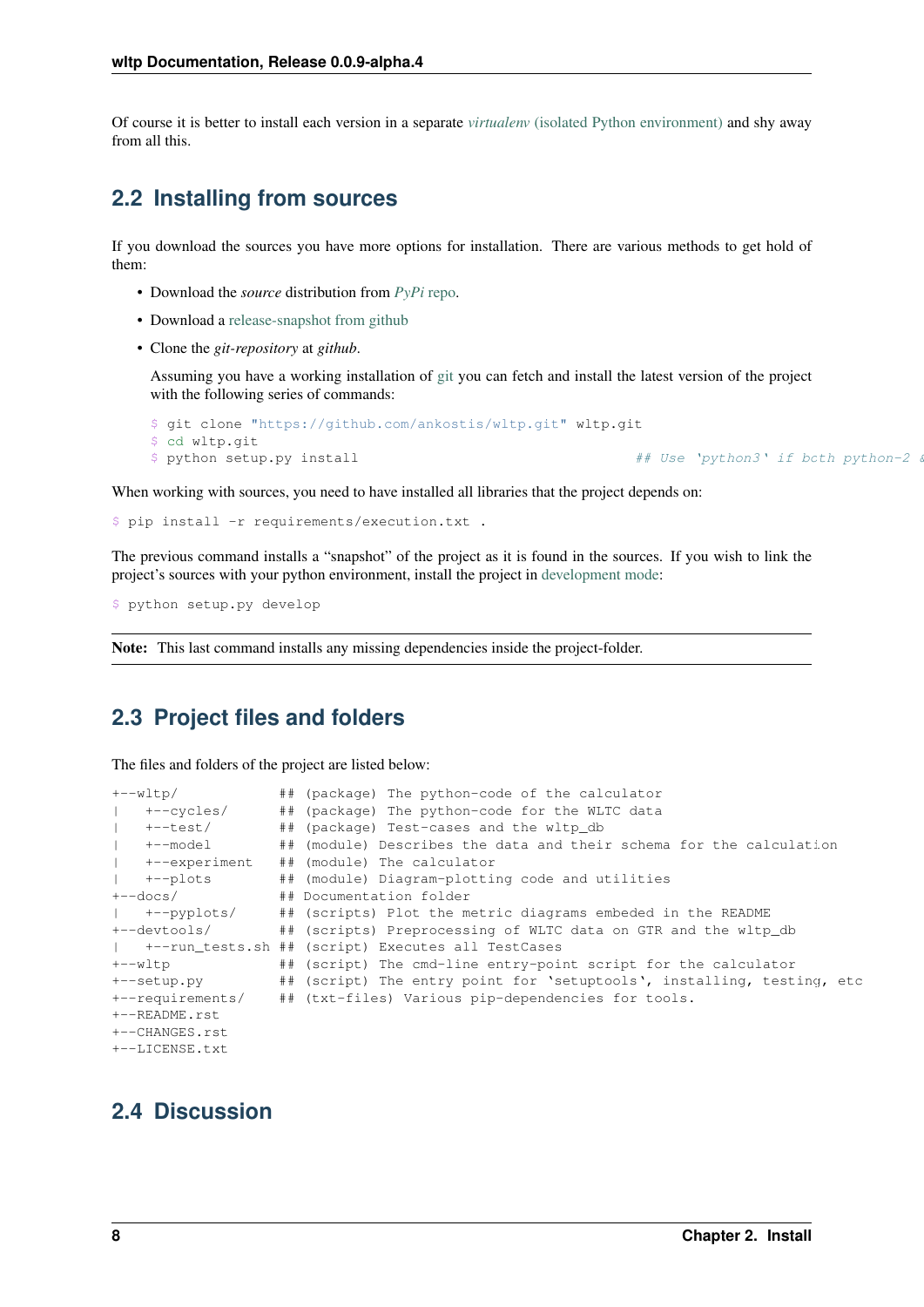Of course it is better to install each version in a separate *virtualenv* [\(isolated Python environment\)](http://docs.python-guide.org/en/latest/dev/virtualenvs/) and shy away from all this.

### <span id="page-11-0"></span>**2.2 Installing from sources**

If you download the sources you have more options for installation. There are various methods to get hold of them:

- Download the *source* distribution from *[PyPi](https://pypi.python.org/pypi/wltp)* repo.
- Download a [release-snapshot from github](https://github.com/ankostis/wltp/releases)
- Clone the *git-repository* at *github*.

Assuming you have a working installation of [git](http://git-scm.com/) you can fetch and install the latest version of the project with the following series of commands:

```
$ git clone "https://github.com/ankostis/wltp.git" wltp.git
$ cd wltp.git
$ python setup.py install # Use 'python3' if both python-2 \ddot{a}
```
When working with sources, you need to have installed all libraries that the project depends on:

```
$ pip install -r requirements/execution.txt .
```
The previous command installs a "snapshot" of the project as it is found in the sources. If you wish to link the project's sources with your python environment, install the project in [development mode:](http://pythonhosted.org/setuptools/setuptools.html#development-mode)

\$ python setup.py develop

Note: This last command installs any missing dependencies inside the project-folder.

### <span id="page-11-1"></span>**2.3 Project files and folders**

The files and folders of the project are listed below:

| +--wltp/                   |  | ## (package) The python-code of the calculator                         |
|----------------------------|--|------------------------------------------------------------------------|
| +--cycles/                 |  | ## (package) The python-code for the WLTC data                         |
| +--test/                   |  | ## (package) Test-cases and the wltp_db                                |
| +--model<br>$\mathbb{R}^n$ |  | ## (module) Describes the data and their schema for the calculation    |
| +--experiment              |  | ## (module) The calculator                                             |
| +--plots                   |  | ## (module) Diagram-plotting code and utilities                        |
| +--docs/                   |  | ## Documentation folder                                                |
| +--pyplots/                |  | ## (scripts) Plot the metric diagrams embeded in the README            |
| +--devtools/               |  | ## (scripts) Preprocessing of WLTC data on GTR and the wltp_db         |
|                            |  | +--run tests.sh ## (script) Executes all TestCases                     |
| +--wltp                    |  | ## (script) The cmd-line entry-point script for the calculator         |
| +--setup.py                |  | ## (script) The entry point for 'setuptools', installing, testing, etc |
| +--requirements/           |  | ## (txt-files) Various pip-dependencies for tools.                     |
| +--README.rst              |  |                                                                        |
| +--CHANGES.rst             |  |                                                                        |
| +--LICENSE.txt             |  |                                                                        |

### <span id="page-11-2"></span>**2.4 Discussion**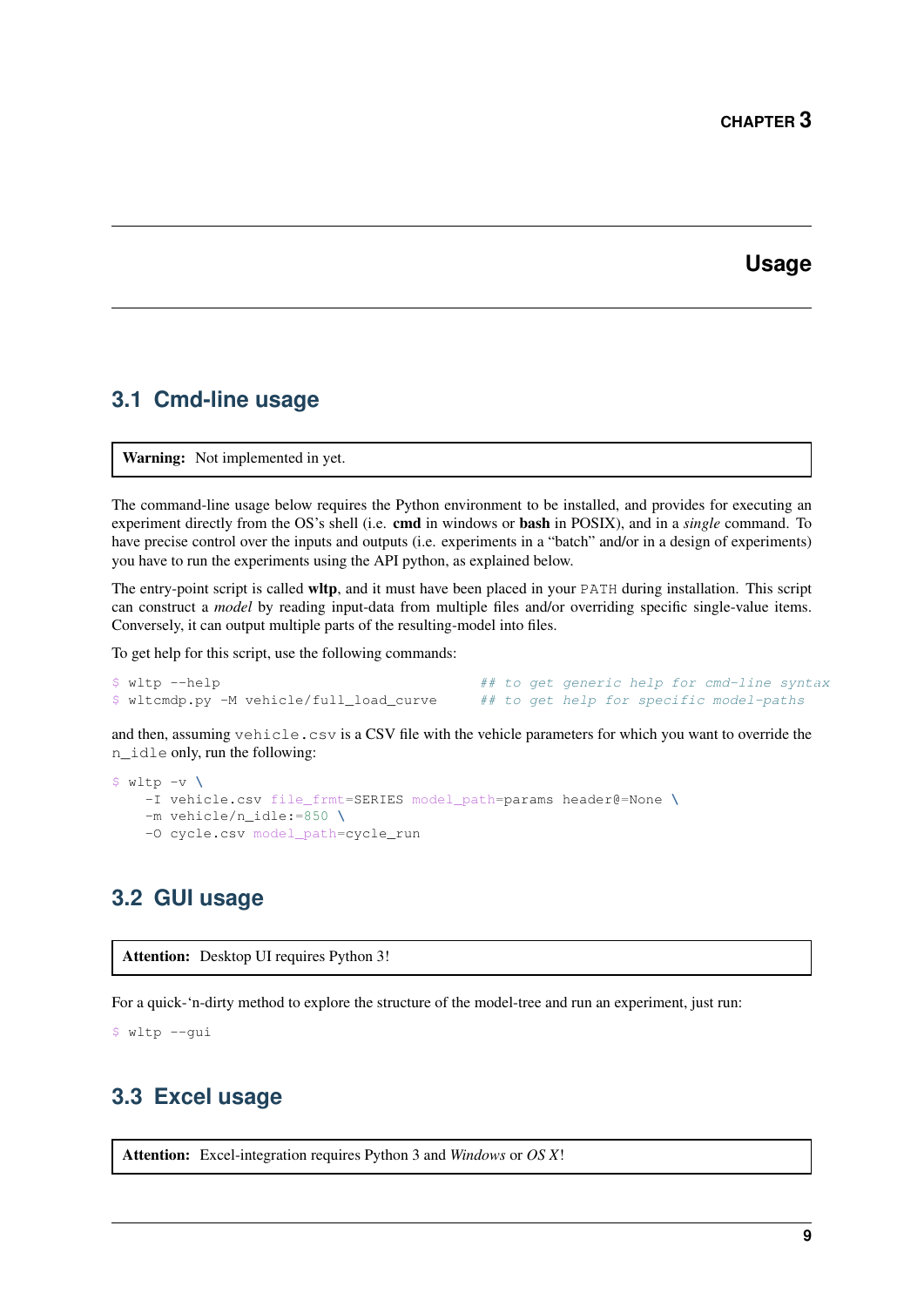### **Usage**

### <span id="page-12-4"></span><span id="page-12-1"></span><span id="page-12-0"></span>**3.1 Cmd-line usage**

Warning: Not implemented in yet.

The command-line usage below requires the Python environment to be installed, and provides for executing an experiment directly from the OS's shell (i.e. cmd in windows or bash in POSIX), and in a *single* command. To have precise control over the inputs and outputs (i.e. experiments in a "batch" and/or in a design of experiments) you have to run the experiments using the API python, as explained below.

The entry-point script is called wltp, and it must have been placed in your PATH during installation. This script can construct a *model* by reading input-data from multiple files and/or overriding specific single-value items. Conversely, it can output multiple parts of the resulting-model into files.

To get help for this script, use the following commands:

| \$ wltp --help                           |  |  |  | ## to get generic help for cmd-line syntax |  |
|------------------------------------------|--|--|--|--------------------------------------------|--|
| \$ wltcmdp.py -M vehicle/full_load_curve |  |  |  | ## to get help for specific model-paths    |  |

and then, assuming vehicle.csv is a CSV file with the vehicle parameters for which you want to override the n\_idle only, run the following:

```
$ wltp -v \
   -I vehicle.csv file_frmt=SERIES model_path=params header@=None \
   -m vehicle/n_idle:=850 \
   -O cycle.csv model_path=cycle_run
```
### <span id="page-12-2"></span>**3.2 GUI usage**

Attention: Desktop UI requires Python 3!

For a quick-'n-dirty method to explore the structure of the model-tree and run an experiment, just run:

\$ wltp --gui

### <span id="page-12-3"></span>**3.3 Excel usage**

Attention: Excel-integration requires Python 3 and *Windows* or *OS X*!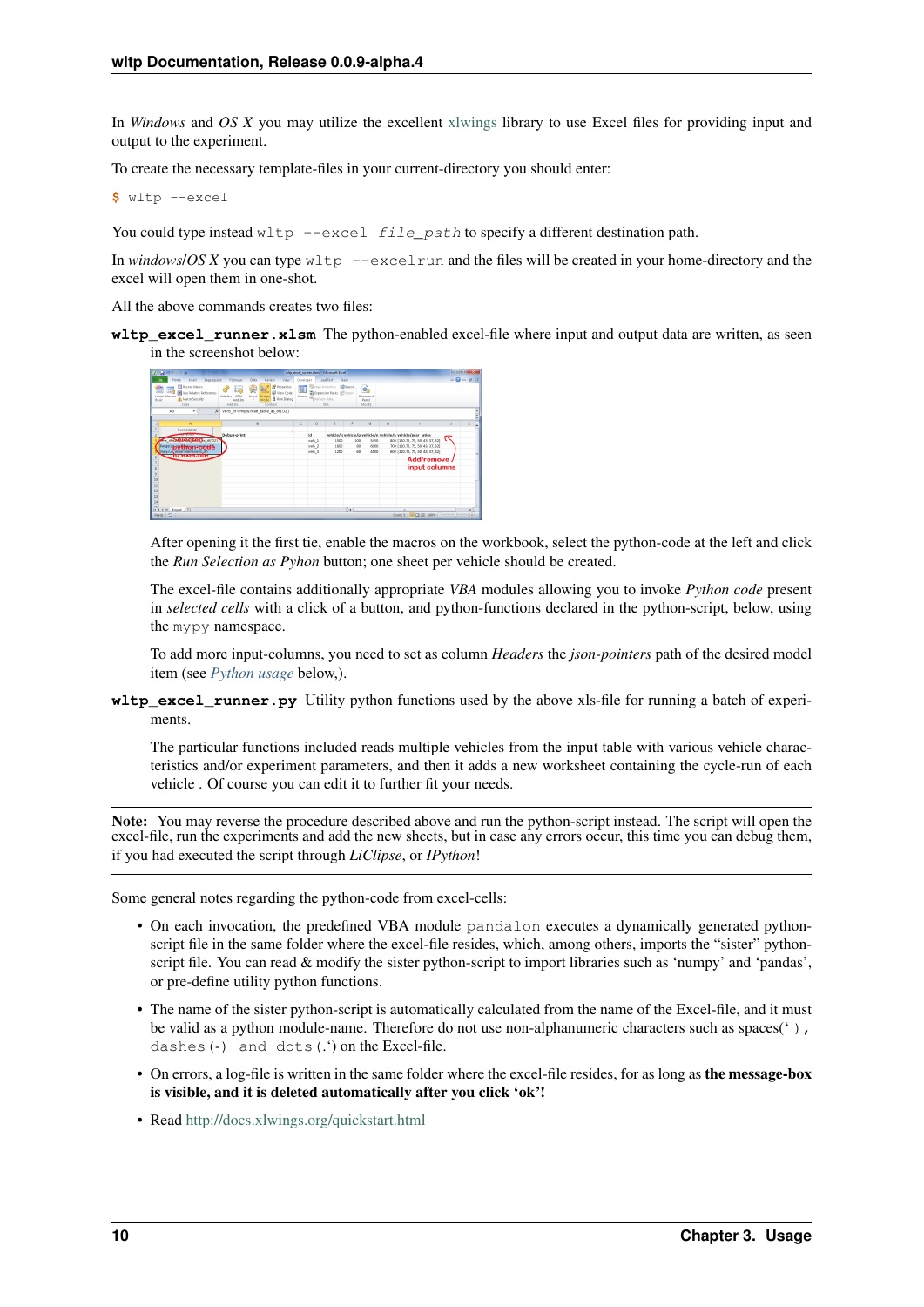In *Windows* and *OS X* you may utilize the excellent [xlwings](http://xlwings.org/quickstart/) library to use Excel files for providing input and output to the experiment.

To create the necessary template-files in your current-directory you should enter:

**\$** wltp --excel

You could type instead  $w \perp p$  --excel file\_path to specify a different destination path.

In *windows*/*OS X* you can type  $w$ ltp  $--$ excelrun and the files will be created in your home-directory and the excel will open them in one-shot.

All the above commands creates two files:

wltp excel runner.xlsm The python-enabled excel-file where input and output data are written, as seen in the screenshot below:



After opening it the first tie, enable the macros on the workbook, select the python-code at the left and click the *Run Selection as Pyhon* button; one sheet per vehicle should be created.

The excel-file contains additionally appropriate *VBA* modules allowing you to invoke *Python code* present in *selected cells* with a click of a button, and python-functions declared in the python-script, below, using the mypy namespace.

To add more input-columns, you need to set as column *Headers* the *json-pointers* path of the desired model item (see *[Python usage](#page-14-0)* below,).

**wltp\_excel\_runner.py** Utility python functions used by the above xls-file for running a batch of experiments.

The particular functions included reads multiple vehicles from the input table with various vehicle characteristics and/or experiment parameters, and then it adds a new worksheet containing the cycle-run of each vehicle . Of course you can edit it to further fit your needs.

Note: You may reverse the procedure described above and run the python-script instead. The script will open the excel-file, run the experiments and add the new sheets, but in case any errors occur, this time you can debug them, if you had executed the script through *LiClipse*, or *IPython*!

Some general notes regarding the python-code from excel-cells:

- On each invocation, the predefined VBA module pandalon executes a dynamically generated pythonscript file in the same folder where the excel-file resides, which, among others, imports the "sister" pythonscript file. You can read & modify the sister python-script to import libraries such as 'numpy' and 'pandas', or pre-define utility python functions.
- The name of the sister python-script is automatically calculated from the name of the Excel-file, and it must be valid as a python module-name. Therefore do not use non-alphanumeric characters such as spaces(' ), dashes(-) and dots(.') on the Excel-file.
- On errors, a log-file is written in the same folder where the excel-file resides, for as long as the message-box is visible, and it is deleted automatically after you click 'ok'!
- Read <http://docs.xlwings.org/quickstart.html>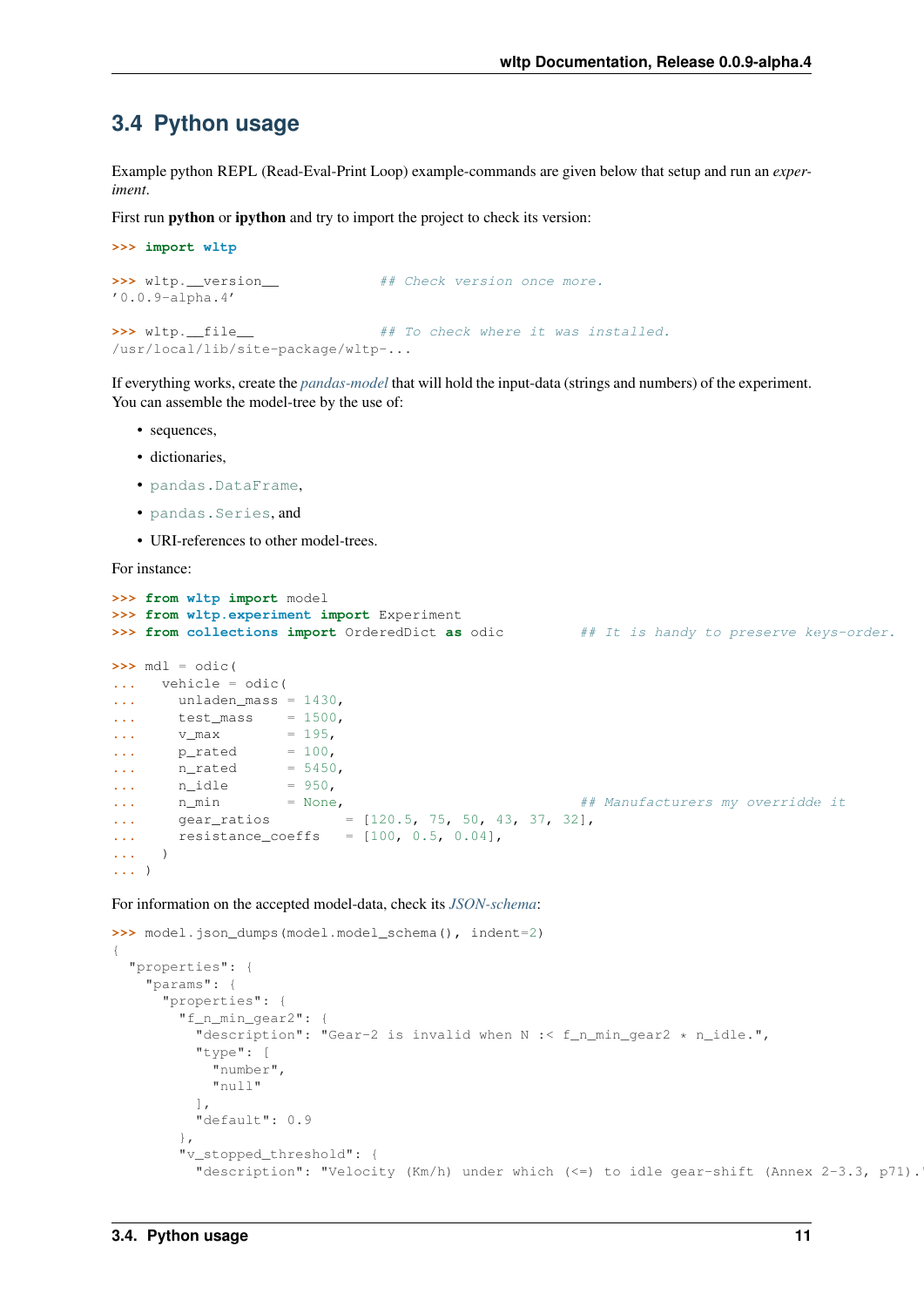### <span id="page-14-0"></span>**3.4 Python usage**

Example python REPL (Read-Eval-Print Loop) example-commands are given below that setup and run an *experiment*.

First run **python** or **ipython** and try to import the project to check its version:

```
>>> import wltp
>>> wltp.__version__ ## Check version once more.
'0.0.9-alpha.4'
>>> wltp. file_ # To check where it was installed.
/usr/local/lib/site-package/wltp-...
```
If everything works, create the *[pandas-model](#page-34-5)* that will hold the input-data (strings and numbers) of the experiment. You can assemble the model-tree by the use of:

- sequences,
- dictionaries,
- [pandas.DataFrame](http://pandas.pydata.org/pandas-docs/dev/generated/pandas.DataFrame.html#pandas.DataFrame),
- [pandas.Series](http://pandas.pydata.org/pandas-docs/dev/generated/pandas.Series.html#pandas.Series), and
- URI-references to other model-trees.

For instance:

```
>>> from wltp import model
>>> from wltp.experiment import Experiment
>>> from collections import OrderedDict as odic ## It is handy to preserve keys-order.
>>> mdl = odic(
... vehicle = odic(
... unladen_mass = 1430,
... test_mass = 1500,
... v_max = 195,
... p_rated = 100,
... n_rated = 5450,
... n_idle = 950,
... n_min = None,<br>
... gear_ratios = [120.5, 75, 50, 43, 37, 32],<br>
921.
... gear_ratios = [120.5, 75, 50, 43, 37, 32],
... resistance_coeffs = [100, 0.5, 0.04],
... )
... )
```
For information on the accepted model-data, check its *[JSON-schema](#page-34-6)*:

```
>>> model.json_dumps(model.model_schema(), indent=2)
{
  "properties": {
    "params": {
      "properties": {
        "f_n_min_gear2": {
          "description": "Gear-2 is invalid when N :< f_n_min_gear2 * n_idle.",
          "type": [
            "number",
            "null"
          \frac{1}{2}"default": 0.9
        },
        "v_stopped_threshold": {
          "description": "Velocity (Km/h) under which (\leq=) to idle gear-shift (Annex 2-3.3, p71).
```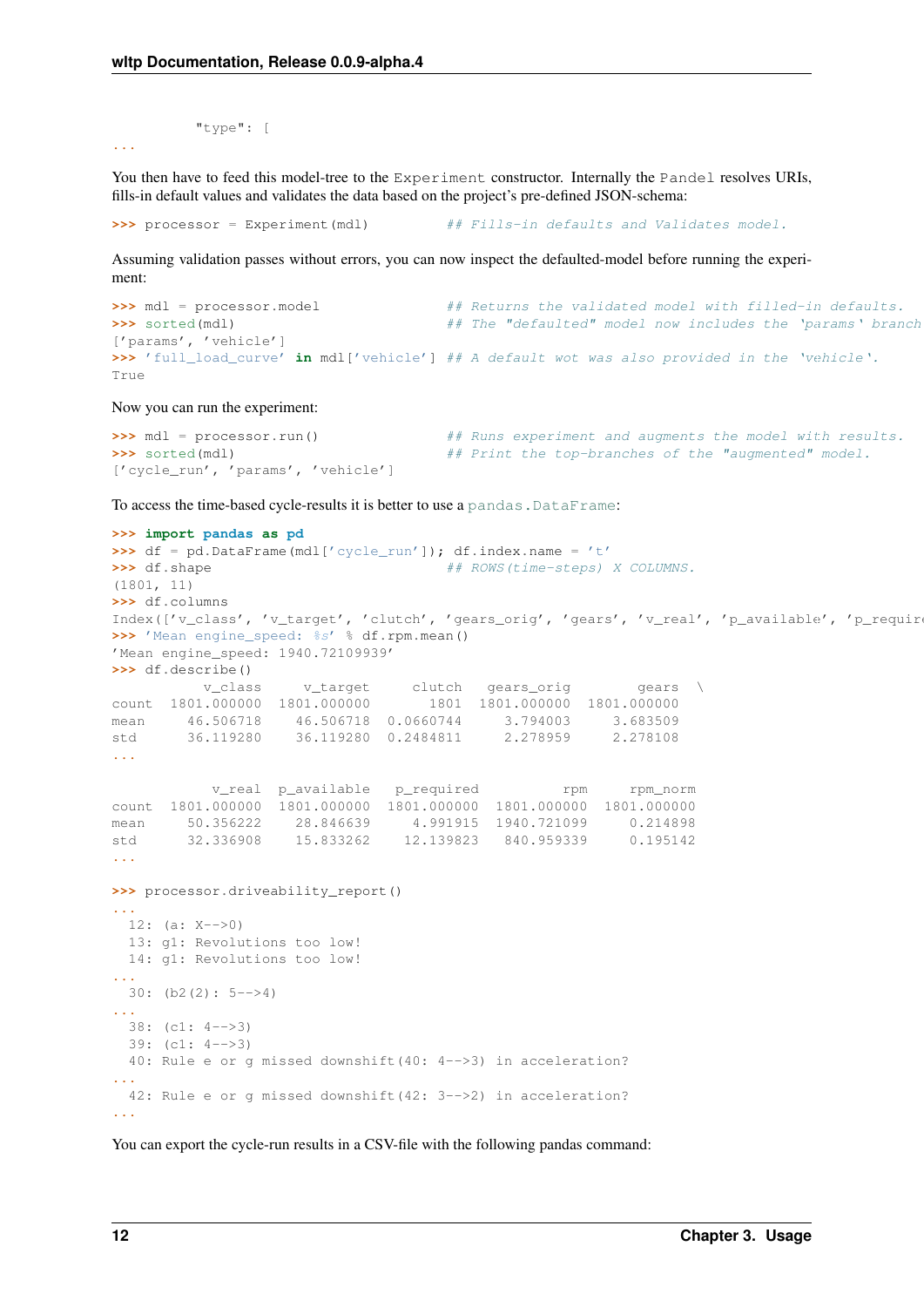```
"type": [
```
**...**

You then have to feed this model-tree to the Experiment constructor. Internally the Pandel resolves URIs, fills-in default values and validates the data based on the project's pre-defined JSON-schema:

**>>>** processor = Experiment(mdl) ## Fills-in defaults and Validates model.

Assuming validation passes without errors, you can now inspect the defaulted-model before running the experiment:

```
>>> mdl = processor.model # Returns the validated model with filled-in defaults.
>>> sorted(mdl) ## The "defaulted" model now includes the 'params' branch.
['params', 'vehicle']
>>> 'full_load_curve' in mdl['vehicle'] ## A default wot was also provided in the 'vehicle'.
True
```
Now you can run the experiment:

```
>>> mdl = processor.run() ## Runs experiment and augments the model with results.
>>> sorted(mdl) ## Print the top-branches of the "augmented" model.
['cycle_run', 'params', 'vehicle']
```
To access the time-based cycle-results it is better to use a pandas. DataFrame:

```
>>> import pandas as pd
>>> df = pd.DataFrame(mdl['cycle_run']); df.index.name = 't'
>>> df.shape # ROWS(time-steps) X COLUMNS.
(1801, 11)
>>> df.columns
Index(['v_class', 'v_target', 'clutch', 'gears_orig', 'gears', 'v_real', 'p_available', 'p_requir
>>> 'Mean engine_speed: %s' % df.rpm.mean()
'Mean engine_speed: 1940.72109939'
>>> df.describe()
v_class v_target clutch gears_orig gears<br>count 1801.000000 1801.000000 1801 1801.000000 1801.000000
                                  count 1801.000000 1801.000000 1801 1801.000000 1801.000000
mean  46.506718  46.506718  0.0660744  3.794003  3.683509
std 36.119280 36.119280 0.2484811 2.278959 2.278108
...
           v_real p_available p_required rpm rpm_norm
count 1801.000000 1801.000000 1801.000000 1801.000000 1801.000000
mean 50.356222 28.846639 4.991915 1940.721099 0.214898
std 32.336908 15.833262 12.139823 840.959339 0.195142
...
>>> processor.driveability_report()
...
 12: (a: X-->0)
 13: g1: Revolutions too low!
 14: g1: Revolutions too low!
...
 30: (b2(2): 5-->4)
...
 38: (c1: 4-->3)
 39: (c1: 4-->3)
  40: Rule e or g missed downshift(40: 4-->3) in acceleration?
...
 42: Rule e or g missed downshift(42: 3-->2) in acceleration?
...
```
You can export the cycle-run results in a CSV-file with the following pandas command: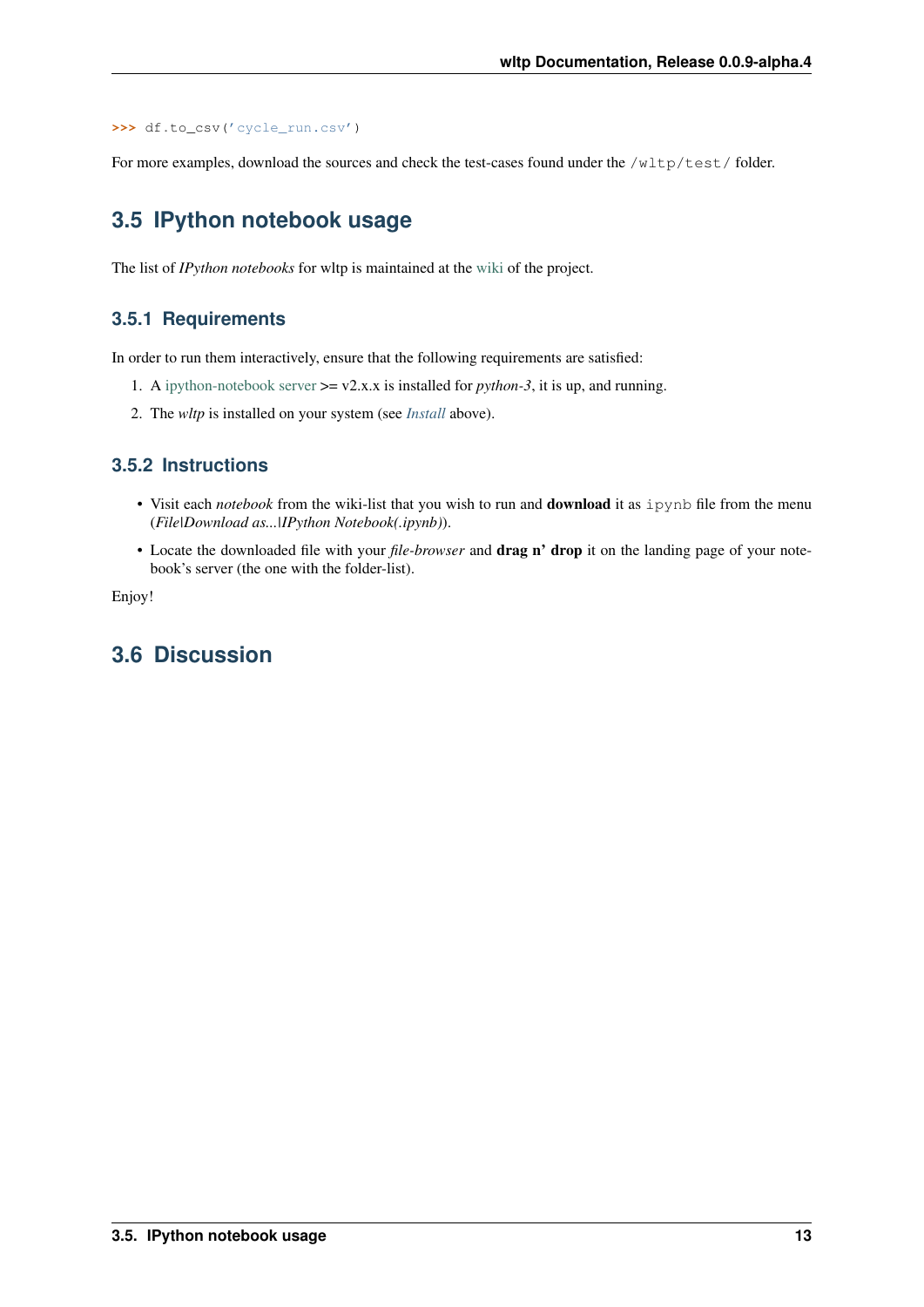```
>>> df.to_csv('cycle_run.csv')
```
For more examples, download the sources and check the test-cases found under the /wltp/test/ folder.

## <span id="page-16-0"></span>**3.5 IPython notebook usage**

The list of *IPython notebooks* for wltp is maintained at the [wiki](https://github.com/ankostis/wltp/wiki) of the project.

#### **3.5.1 Requirements**

In order to run them interactively, ensure that the following requirements are satisfied:

- 1. A [ipython-notebook server](http://ipython.org/notebook.html)  $\geq$  v2.x.x is installed for *python-3*, it is up, and running.
- 2. The *wltp* is installed on your system (see *[Install](#page-10-0)* above).

#### **3.5.2 Instructions**

- Visit each *notebook* from the wiki-list that you wish to run and download it as ipynb file from the menu (*File|Download as...|IPython Notebook(.ipynb)*).
- Locate the downloaded file with your *file-browser* and drag n' drop it on the landing page of your notebook's server (the one with the folder-list).

Enjoy!

## <span id="page-16-1"></span>**3.6 Discussion**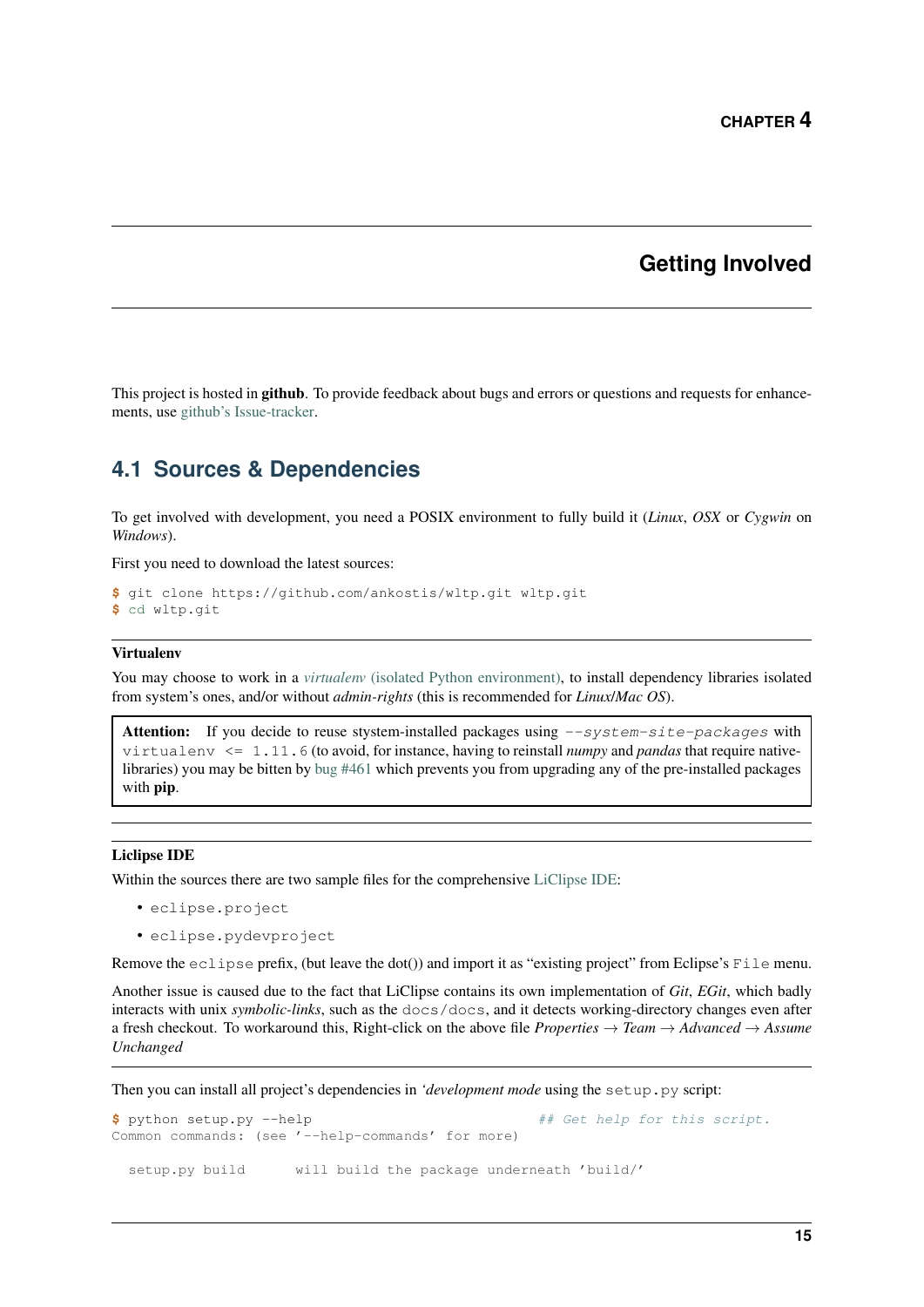### **Getting Involved**

<span id="page-18-0"></span>This project is hosted in **github**. To provide feedback about bugs and errors or questions and requests for enhancements, use [github's Issue-tracker.](https://github.com/ankostis/wltp/issues)

### <span id="page-18-1"></span>**4.1 Sources & Dependencies**

To get involved with development, you need a POSIX environment to fully build it (*Linux*, *OSX* or *Cygwin* on *Windows*).

First you need to download the latest sources:

```
$ git clone https://github.com/ankostis/wltp.git wltp.git
$ cd wltp.git
```
#### Virtualenv

You may choose to work in a *virtualenv* [\(isolated Python environment\),](http://docs.python-guide.org/en/latest/dev/virtualenvs/) to install dependency libraries isolated from system's ones, and/or without *admin-rights* (this is recommended for *Linux*/*Mac OS*).

Attention: If you decide to reuse stystem-installed packages using  $-$ system-site-packages with virtualenv <= 1.11.6 (to avoid, for instance, having to reinstall *numpy* and *pandas* that require nativelibraries) you may be bitten by [bug #461](https://github.com/pypa/virtualenv/issues/461) which prevents you from upgrading any of the pre-installed packages with pip.

#### Liclipse IDE

Within the sources there are two sample files for the comprehensive [LiClipse IDE:](https://brainwy.github.io/liclipse/)

- eclipse.project
- eclipse.pydevproject

Remove the eclipse prefix, (but leave the dot()) and import it as "existing project" from Eclipse's File menu.

Another issue is caused due to the fact that LiClipse contains its own implementation of *Git*, *EGit*, which badly interacts with unix *symbolic-links*, such as the docs/docs, and it detects working-directory changes even after a fresh checkout. To workaround this, Right-click on the above file *Properties* → *Team* → *Advanced* → *Assume Unchanged*

Then you can install all project's dependencies in *'development mode* using the setup.py script:

```
$ python setup.py --help # Get help for this script.
Common commands: (see '--help-commands' for more)
 setup.py build will build the package underneath 'build/'
```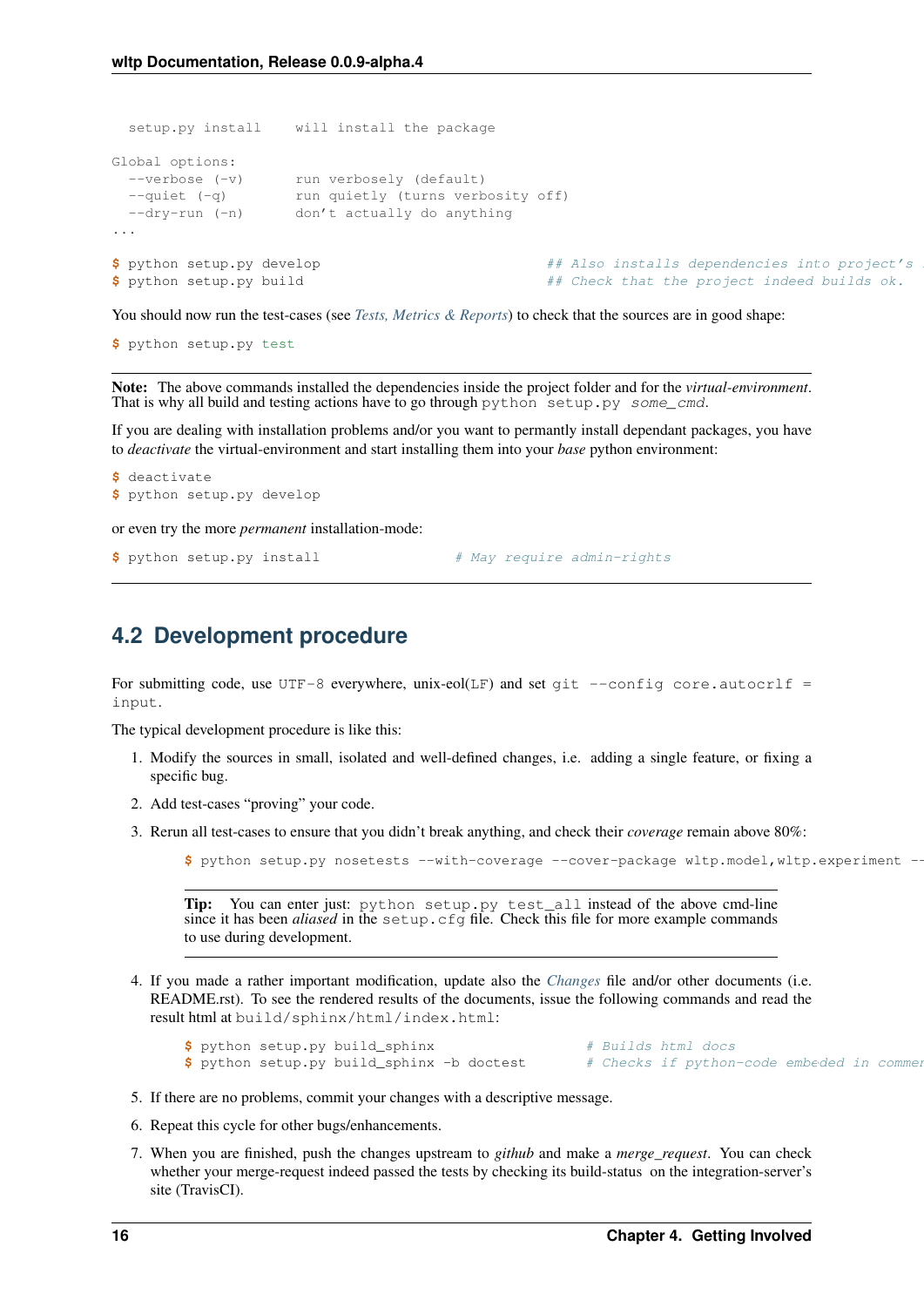```
setup.py install will install the package
Global options:
 --verbose (-v) run verbosely (default)
 --quiet (-q) run quietly (turns verbosity off)
 --dry-run (-n) don't actually do anything
...
$ python setup.py develop # Also installs dependencies into project's
$ python setup.py build ## Check that the project indeed builds ok.
```
You should now run the test-cases (see *[Tests, Metrics & Reports](#page-22-0)*) to check that the sources are in good shape:

**\$** python setup.py test

Note: The above commands installed the dependencies inside the project folder and for the *virtual-environment*. That is why all build and testing actions have to go through python setup.py some\_cmd.

If you are dealing with installation problems and/or you want to permantly install dependant packages, you have to *deactivate* the virtual-environment and start installing them into your *base* python environment:

```
$ deactivate
$ python setup.py develop
or even try the more permanent installation-mode:
$ python setup.py install \frac{1}{2} # May require admin-rights
```
### <span id="page-19-0"></span>**4.2 Development procedure**

For submitting code, use UTF-8 everywhere, unix-eol(LF) and set git  $--config core.autocrlf =$ input.

The typical development procedure is like this:

- 1. Modify the sources in small, isolated and well-defined changes, i.e. adding a single feature, or fixing a specific bug.
- 2. Add test-cases "proving" your code.
- 3. Rerun all test-cases to ensure that you didn't break anything, and check their *coverage* remain above 80%:

**\$** python setup.py nosetests --with-coverage --cover-package wltp.model,wltp.experiment --cover-min-percentage=80

Tip: You can enter just: python setup.py test\_all instead of the above cmd-line since it has been *aliased* in the setup.cfg file. Check this file for more example commands to use during development.

4. If you made a rather important modification, update also the *[Changes](#page-28-0)* file and/or other documents (i.e. README.rst). To see the rendered results of the documents, issue the following commands and read the result html at build/sphinx/html/index.html:

**\$** python setup.py build\_sphinx # Builds html docs **\$** python setup.py build\_sphinx -b doctest # Checks if python-code embeded in comment

- 5. If there are no problems, commit your changes with a descriptive message.
- 6. Repeat this cycle for other bugs/enhancements.
- 7. When you are finished, push the changes upstream to *github* and make a *merge\_request*. You can check whether your merge-request indeed passed the tests by checking its build-status on the integration-server's site (TravisCI).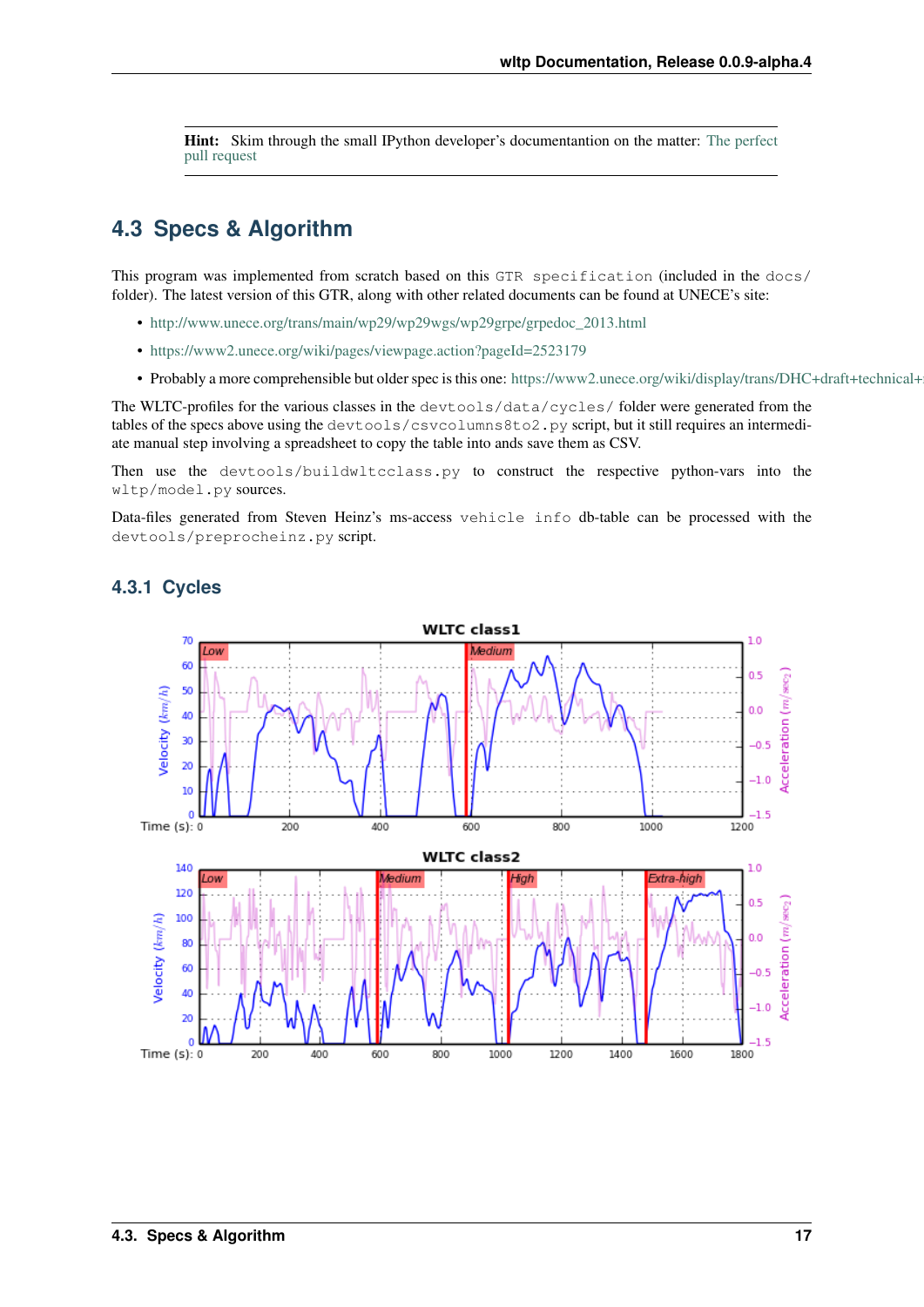Hint: Skim through the small IPython developer's documentantion on the matter: [The perfect](https://github.com/ipython/ipython/wiki/Dev:-The-perfect-pull-request) [pull request](https://github.com/ipython/ipython/wiki/Dev:-The-perfect-pull-request)

## <span id="page-20-0"></span>**4.3 Specs & Algorithm**

This program was implemented from scratch based on this GTR specification (included in the docs/ folder). The latest version of this GTR, along with other related documents can be found at UNECE's site:

- [http://www.unece.org/trans/main/wp29/wp29wgs/wp29grpe/grpedoc\\_2013.html](http://www.unece.org/trans/main/wp29/wp29wgs/wp29grpe/grpedoc_2013.html)
- <https://www2.unece.org/wiki/pages/viewpage.action?pageId=2523179>
- Probably a more comprehensible but older spec is this one: https://www2.unece.org/wiki/display/trans/DHC+draft+technical+

The WLTC-profiles for the various classes in the devtools/data/cycles/ folder were generated from the tables of the specs above using the devtools/csvcolumns8to2.py script, but it still requires an intermediate manual step involving a spreadsheet to copy the table into ands save them as CSV.

Then use the devtools/buildwltcclass.py to construct the respective python-vars into the wltp/model.py sources.

Data-files generated from Steven Heinz's ms-access vehicle info db-table can be processed with the devtools/preprocheinz.py script.



#### **4.3.1 Cycles**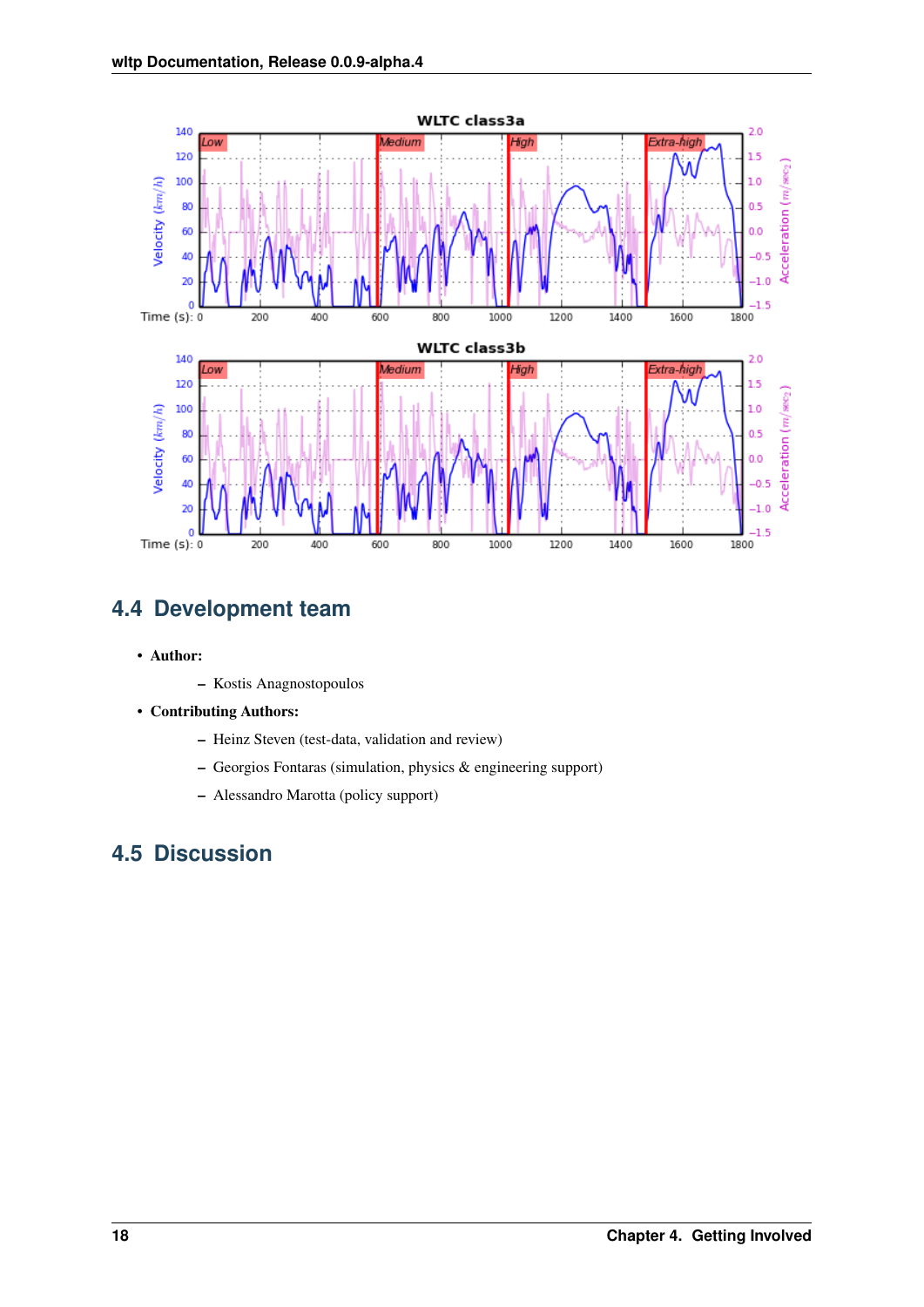

## <span id="page-21-0"></span>**4.4 Development team**

- Author:
	- Kostis Anagnostopoulos
- Contributing Authors:
	- Heinz Steven (test-data, validation and review)
	- Georgios Fontaras (simulation, physics & engineering support)
	- Alessandro Marotta (policy support)

## <span id="page-21-1"></span>**4.5 Discussion**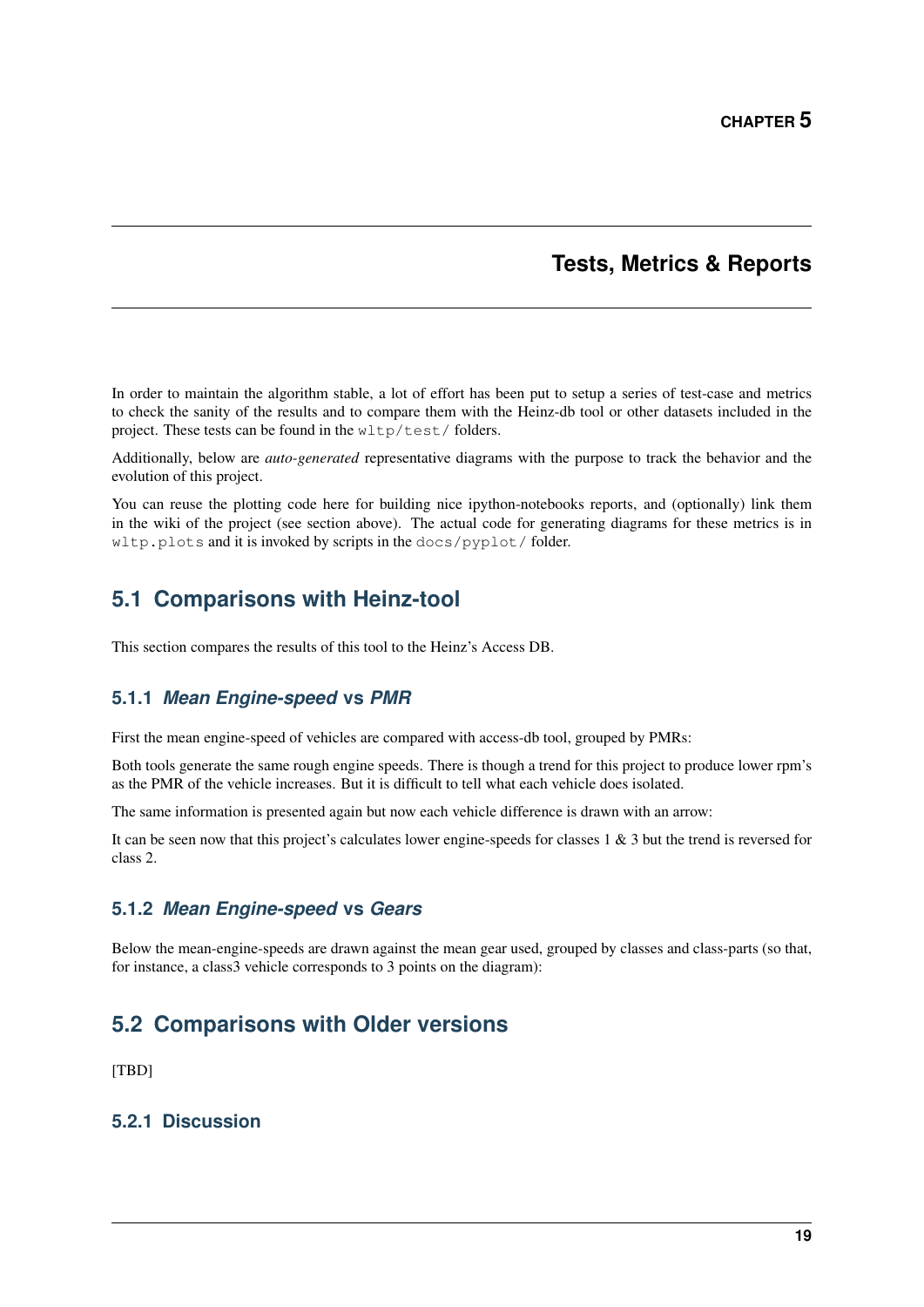### **Tests, Metrics & Reports**

<span id="page-22-0"></span>In order to maintain the algorithm stable, a lot of effort has been put to setup a series of test-case and metrics to check the sanity of the results and to compare them with the Heinz-db tool or other datasets included in the project. These tests can be found in the wltp/test/folders.

Additionally, below are *auto-generated* representative diagrams with the purpose to track the behavior and the evolution of this project.

You can reuse the plotting code here for building nice ipython-notebooks reports, and (optionally) link them in the wiki of the project (see section above). The actual code for generating diagrams for these metrics is in wltp.plots and it is invoked by scripts in the docs/pyplot/ folder.

## <span id="page-22-1"></span>**5.1 Comparisons with Heinz-tool**

This section compares the results of this tool to the Heinz's Access DB.

#### **5.1.1** *Mean Engine-speed* **vs** *PMR*

First the mean engine-speed of vehicles are compared with access-db tool, grouped by PMRs:

Both tools generate the same rough engine speeds. There is though a trend for this project to produce lower rpm's as the PMR of the vehicle increases. But it is difficult to tell what each vehicle does isolated.

The same information is presented again but now each vehicle difference is drawn with an arrow:

It can be seen now that this project's calculates lower engine-speeds for classes 1 & 3 but the trend is reversed for class 2.

#### **5.1.2** *Mean Engine-speed* **vs** *Gears*

Below the mean-engine-speeds are drawn against the mean gear used, grouped by classes and class-parts (so that, for instance, a class3 vehicle corresponds to 3 points on the diagram):

## <span id="page-22-2"></span>**5.2 Comparisons with Older versions**

[TBD]

#### **5.2.1 Discussion**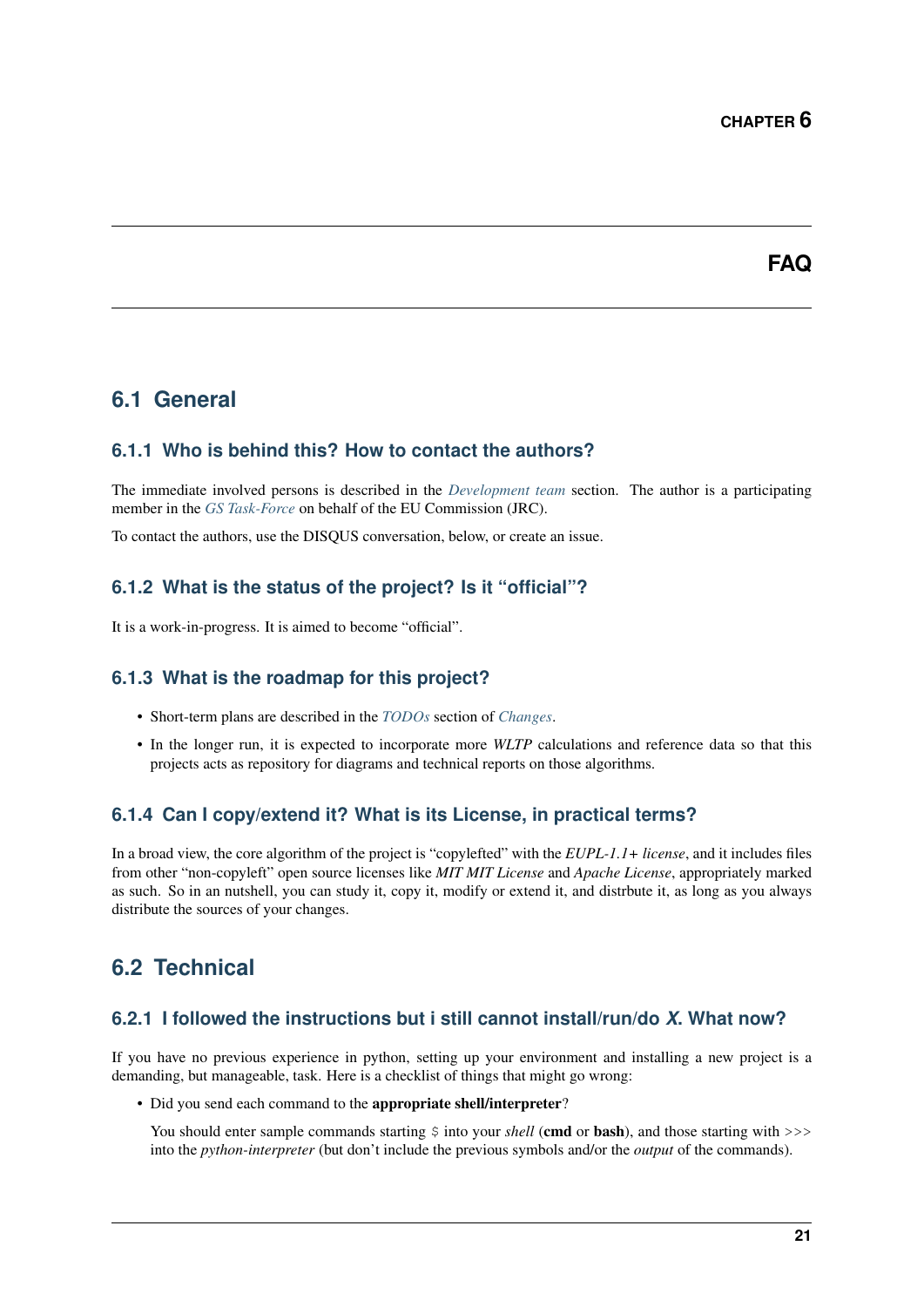### **FAQ**

### <span id="page-24-1"></span><span id="page-24-0"></span>**6.1 General**

#### **6.1.1 Who is behind this? How to contact the authors?**

The immediate involved persons is described in the *[Development team](#page-21-0)* section. The author is a participating member in the *[GS Task-Force](#page-34-7)* on behalf of the EU Commission (JRC).

To contact the authors, use the DISQUS conversation, below, or create an issue.

#### **6.1.2 What is the status of the project? Is it "official"?**

It is a work-in-progress. It is aimed to become "official".

#### **6.1.3 What is the roadmap for this project?**

- Short-term plans are described in the *[TODOs](#page-29-0)* section of *[Changes](#page-28-0)*.
- In the longer run, it is expected to incorporate more *WLTP* calculations and reference data so that this projects acts as repository for diagrams and technical reports on those algorithms.

#### **6.1.4 Can I copy/extend it? What is its License, in practical terms?**

In a broad view, the core algorithm of the project is "copylefted" with the *EUPL-1.1+ license*, and it includes files from other "non-copyleft" open source licenses like *MIT MIT License* and *Apache License*, appropriately marked as such. So in an nutshell, you can study it, copy it, modify or extend it, and distrbute it, as long as you always distribute the sources of your changes.

### <span id="page-24-2"></span>**6.2 Technical**

#### **6.2.1 I followed the instructions but i still cannot install/run/do** *X***. What now?**

If you have no previous experience in python, setting up your environment and installing a new project is a demanding, but manageable, task. Here is a checklist of things that might go wrong:

• Did you send each command to the appropriate shell/interpreter?

You should enter sample commands starting  $\frac{1}{2}$  into your *shell* (cmd or bash), and those starting with >>> into the *python-interpreter* (but don't include the previous symbols and/or the *output* of the commands).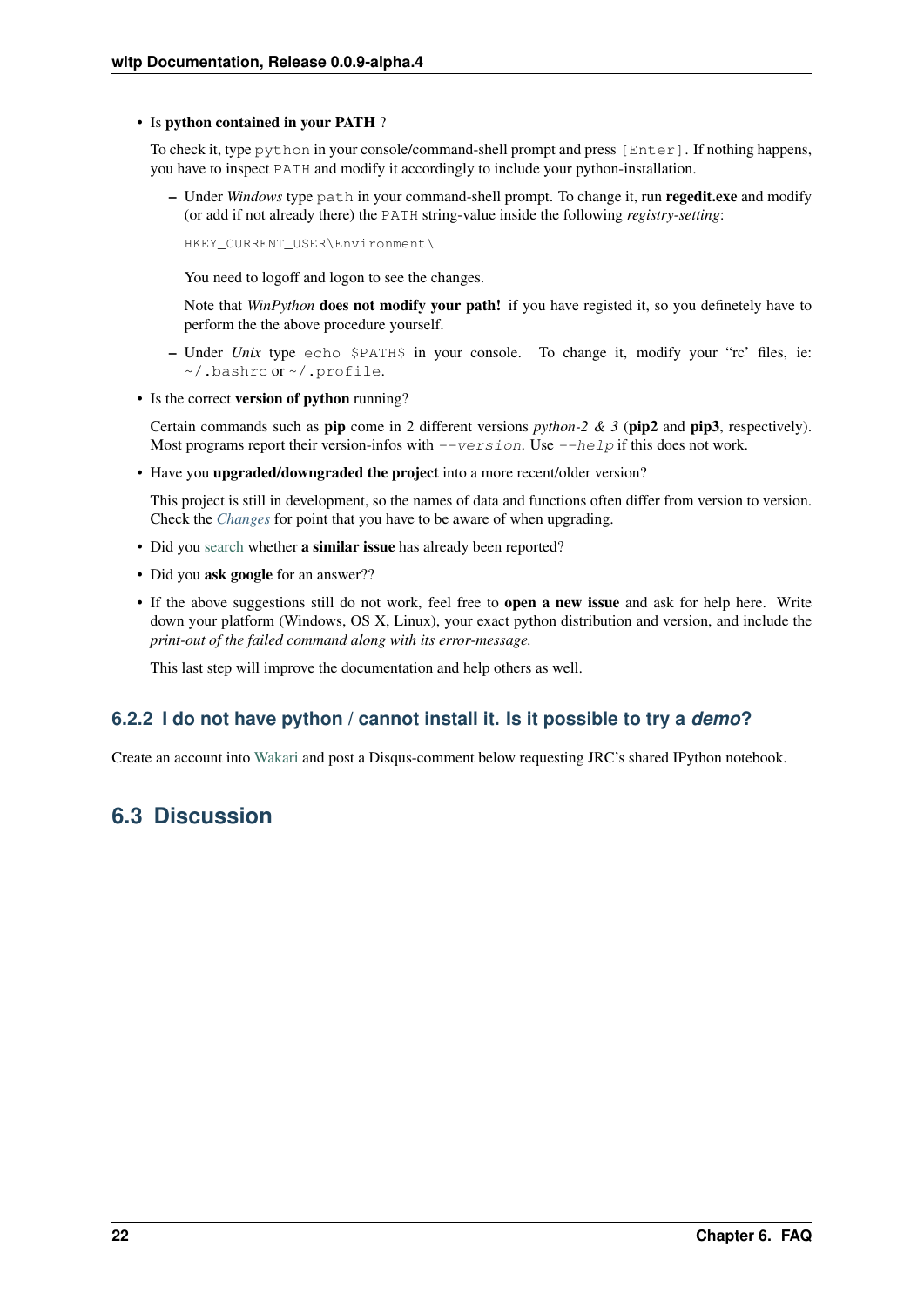#### <span id="page-25-1"></span>• Is python contained in your PATH ?

To check it, type python in your console/command-shell prompt and press [Enter]. If nothing happens, you have to inspect PATH and modify it accordingly to include your python-installation.

– Under *Windows* type path in your command-shell prompt. To change it, run regedit.exe and modify (or add if not already there) the PATH string-value inside the following *registry-setting*:

HKEY\_CURRENT\_USER\Environment\

You need to logoff and logon to see the changes.

Note that *WinPython* **does not modify your path!** if you have registed it, so you definetely have to perform the the above procedure yourself.

- Under *Unix* type echo \$PATH\$ in your console. To change it, modify your "rc' files, ie: ~/.bashrc or ~/.profile.
- Is the correct version of python running?

Certain commands such as **pip** come in 2 different versions *python-2 & 3* ( $\pi$ ip) and  $\pi$ **pip3**, respectively). Most programs report their version-infos with  $-version$ . Use  $-\text{help}$  if this does not work.

• Have you upgraded/downgraded the project into a more recent/older version?

This project is still in development, so the names of data and functions often differ from version to version. Check the *[Changes](#page-28-0)* for point that you have to be aware of when upgrading.

- Did you [search](https://github.com/ankostis/wltp/issues) whether a similar issue has already been reported?
- Did you ask google for an answer??
- If the above suggestions still do not work, feel free to open a new issue and ask for help here. Write down your platform (Windows, OS X, Linux), your exact python distribution and version, and include the *print-out of the failed command along with its error-message.*

This last step will improve the documentation and help others as well.

### **6.2.2 I do not have python / cannot install it. Is it possible to try a** *demo***?**

Create an account into [Wakari](https://wakari.io/) and post a Disqus-comment below requesting JRC's shared IPython notebook.

## <span id="page-25-0"></span>**6.3 Discussion**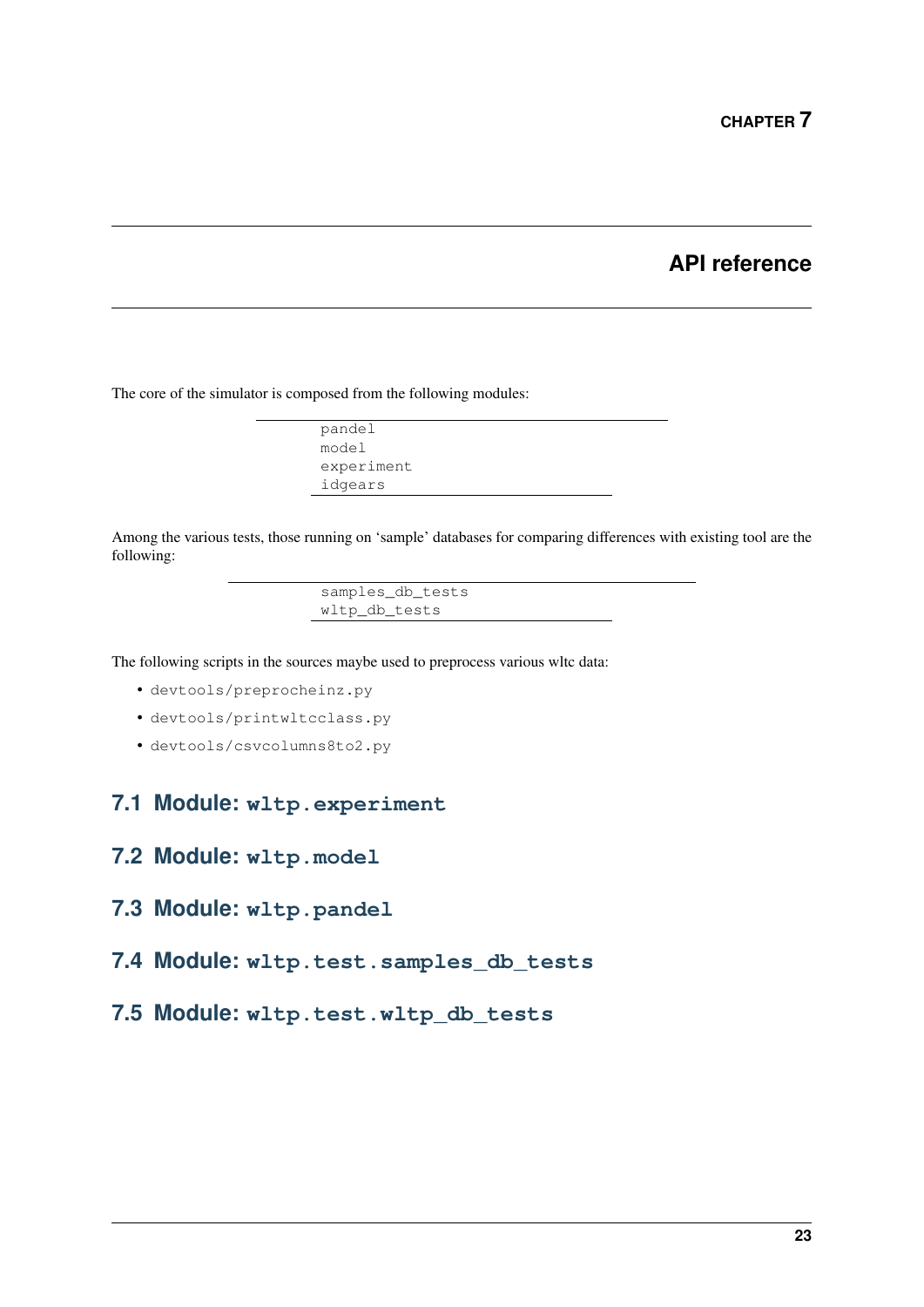### **API reference**

<span id="page-26-0"></span>The core of the simulator is composed from the following modules:

pandel model experiment idgears

Among the various tests, those running on 'sample' databases for comparing differences with existing tool are the following:

> samples\_db\_tests wltp\_db\_tests

The following scripts in the sources maybe used to preprocess various wltc data:

- devtools/preprocheinz.py
- devtools/printwltcclass.py
- devtools/csvcolumns8to2.py

### <span id="page-26-1"></span>**7.1 Module: wltp.experiment**

- <span id="page-26-2"></span>**7.2 Module: wltp.model**
- <span id="page-26-3"></span>**7.3 Module: wltp.pandel**
- <span id="page-26-4"></span>**7.4 Module: wltp.test.samples\_db\_tests**
- <span id="page-26-5"></span>**7.5 Module: wltp.test.wltp\_db\_tests**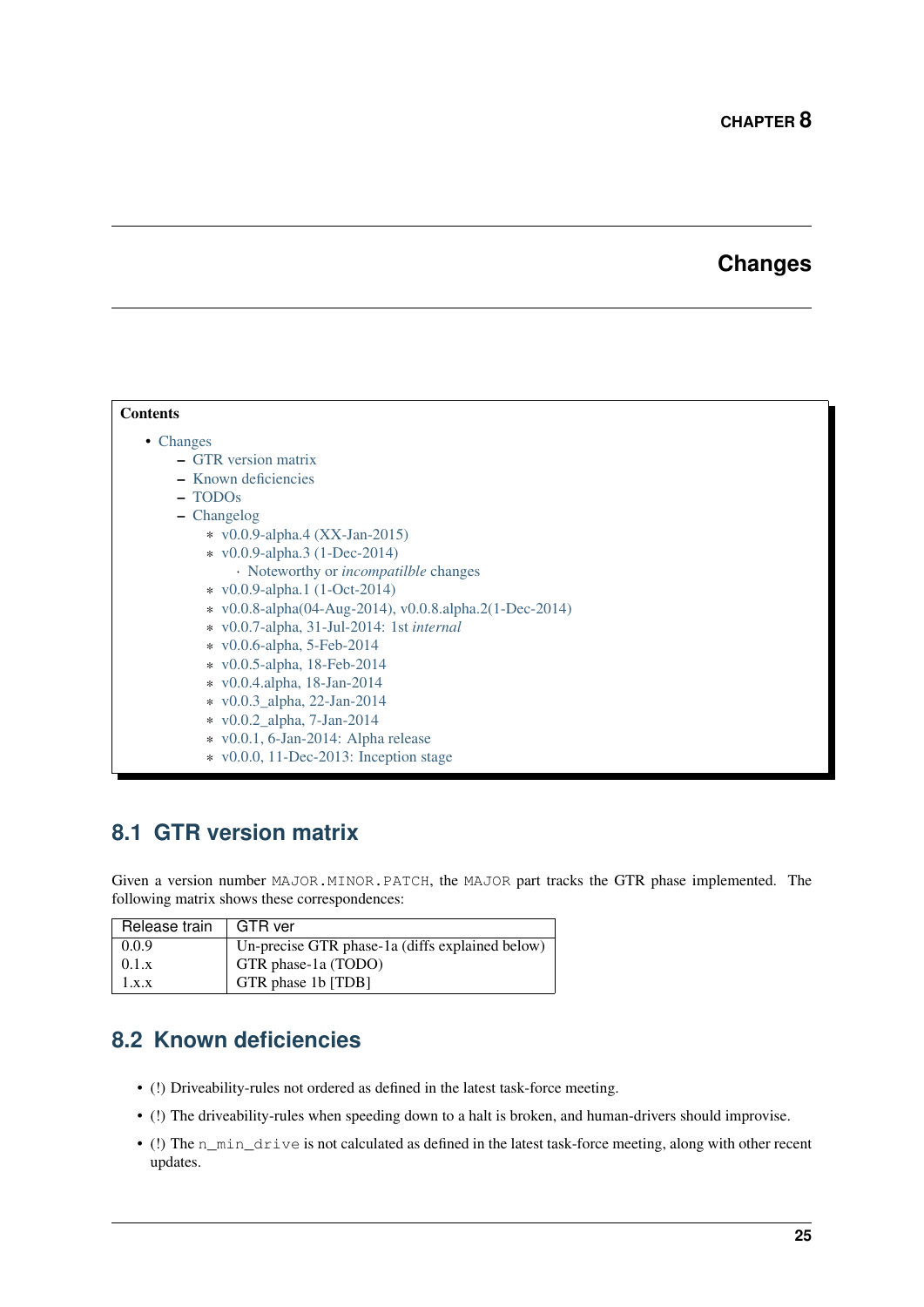## **Changes**

<span id="page-28-0"></span>

| <b>Contents</b>                                         |  |  |  |  |  |
|---------------------------------------------------------|--|--|--|--|--|
| $\bullet$ Changes                                       |  |  |  |  |  |
| - GTR version matrix                                    |  |  |  |  |  |
| - Known deficiencies                                    |  |  |  |  |  |
| - TODO <sub>s</sub>                                     |  |  |  |  |  |
| - Changelog                                             |  |  |  |  |  |
| * $v0.0.9$ -alpha.4 (XX-Jan-2015)                       |  |  |  |  |  |
| * v0.0.9-alpha.3 (1-Dec-2014)                           |  |  |  |  |  |
| • Noteworthy or <i>incompatilble</i> changes            |  |  |  |  |  |
| * v0.0.9-alpha.1 (1-Oct-2014)                           |  |  |  |  |  |
| * v0.0.8-alpha(04-Aug-2014), v0.0.8.alpha.2(1-Dec-2014) |  |  |  |  |  |
| $\ast$ v0.0.7-alpha, 31-Jul-2014: 1st <i>internal</i>   |  |  |  |  |  |
| $\star$ v0.0.6-alpha, 5-Feb-2014                        |  |  |  |  |  |
| $\star$ v0.0.5-alpha, 18-Feb-2014                       |  |  |  |  |  |
| $\star$ v0.0.4.alpha, 18-Jan-2014                       |  |  |  |  |  |
| * v0.0.3_alpha, 22-Jan-2014                             |  |  |  |  |  |
| * v0.0.2_alpha, 7-Jan-2014                              |  |  |  |  |  |
| $\star$ v0.0.1, 6-Jan-2014: Alpha release               |  |  |  |  |  |
| $\star$ v0.0.0, 11-Dec-2013: Inception stage            |  |  |  |  |  |

## <span id="page-28-1"></span>**8.1 GTR version matrix**

Given a version number MAJOR.MINOR.PATCH, the MAJOR part tracks the GTR phase implemented. The following matrix shows these correspondences:

| Release train | GTR ver                                         |
|---------------|-------------------------------------------------|
| 0.0.9         | Un-precise GTR phase-1a (diffs explained below) |
| 0.1.x         | GTR phase-1a (TODO)                             |
| 1.x.x         | GTR phase 1b [TDB]                              |

## <span id="page-28-2"></span>**8.2 Known deficiencies**

- (!) Driveability-rules not ordered as defined in the latest task-force meeting.
- (!) The driveability-rules when speeding down to a halt is broken, and human-drivers should improvise.
- (!) The n\_min\_drive is not calculated as defined in the latest task-force meeting, along with other recent updates.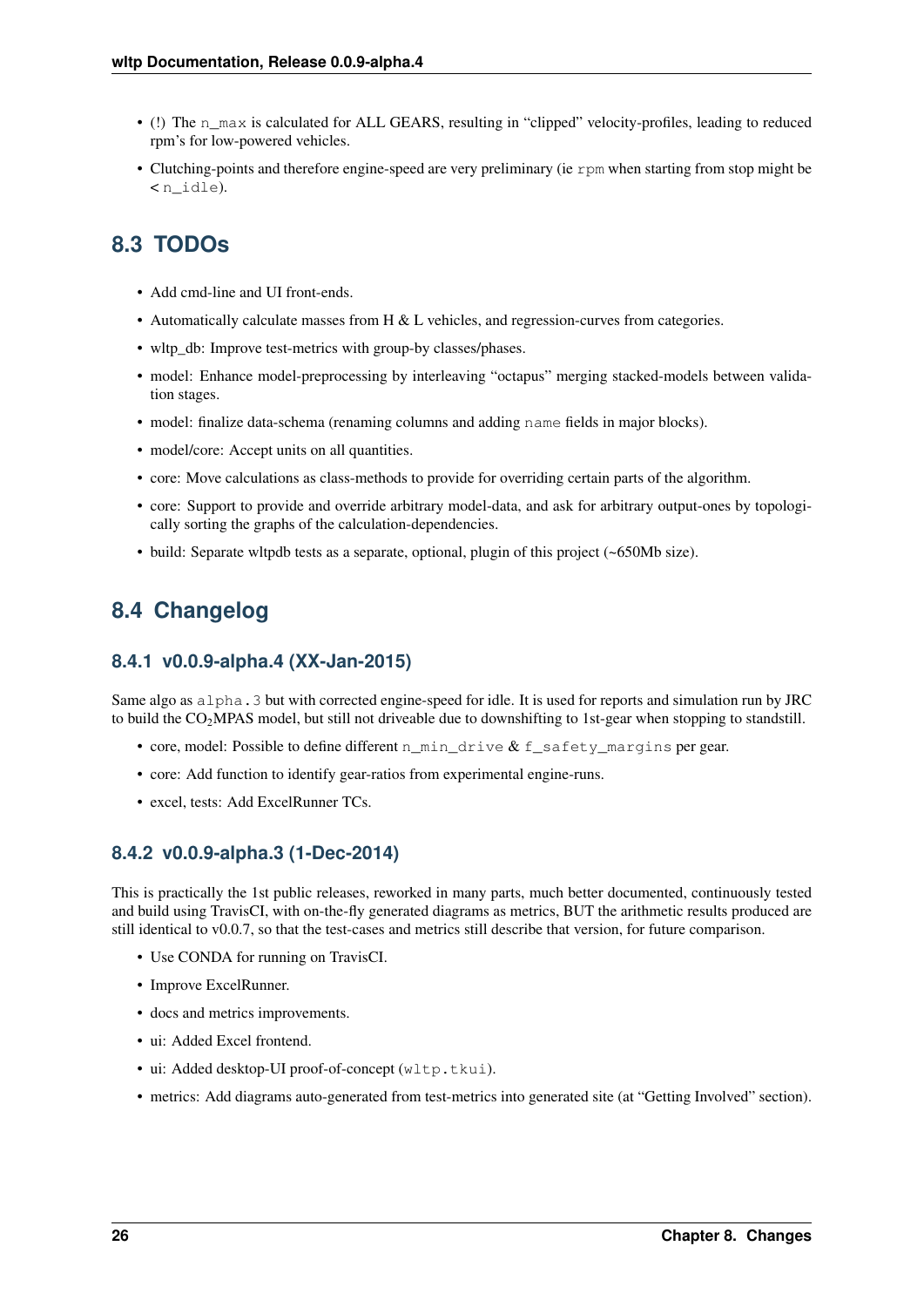- (!) The n\_max is calculated for ALL GEARS, resulting in "clipped" velocity-profiles, leading to reduced rpm's for low-powered vehicles.
- Clutching-points and therefore engine-speed are very preliminary (ie rpm when starting from stop might be < n\_idle).

## <span id="page-29-0"></span>**8.3 TODOs**

- Add cmd-line and UI front-ends.
- Automatically calculate masses from H & L vehicles, and regression-curves from categories.
- wltp\_db: Improve test-metrics with group-by classes/phases.
- model: Enhance model-preprocessing by interleaving "octapus" merging stacked-models between validation stages.
- model: finalize data-schema (renaming columns and adding name fields in major blocks).
- model/core: Accept units on all quantities.
- core: Move calculations as class-methods to provide for overriding certain parts of the algorithm.
- core: Support to provide and override arbitrary model-data, and ask for arbitrary output-ones by topologically sorting the graphs of the calculation-dependencies.
- build: Separate wltpdb tests as a separate, optional, plugin of this project (~650Mb size).

## <span id="page-29-1"></span>**8.4 Changelog**

#### <span id="page-29-2"></span>**8.4.1 v0.0.9-alpha.4 (XX-Jan-2015)**

Same algo as alpha.3 but with corrected engine-speed for idle. It is used for reports and simulation run by JRC to build the CO<sub>2</sub>MPAS model, but still not driveable due to downshifting to 1st-gear when stopping to standstill.

- core, model: Possible to define different n\_min\_drive & f\_safety\_margins per gear.
- core: Add function to identify gear-ratios from experimental engine-runs.
- excel, tests: Add ExcelRunner TCs.

#### <span id="page-29-3"></span>**8.4.2 v0.0.9-alpha.3 (1-Dec-2014)**

This is practically the 1st public releases, reworked in many parts, much better documented, continuously tested and build using TravisCI, with on-the-fly generated diagrams as metrics, BUT the arithmetic results produced are still identical to v0.0.7, so that the test-cases and metrics still describe that version, for future comparison.

- Use CONDA for running on TravisCI.
- Improve ExcelRunner.
- docs and metrics improvements.
- ui: Added Excel frontend.
- ui: Added desktop-UI proof-of-concept (wltp.tkui).
- metrics: Add diagrams auto-generated from test-metrics into generated site (at "Getting Involved" section).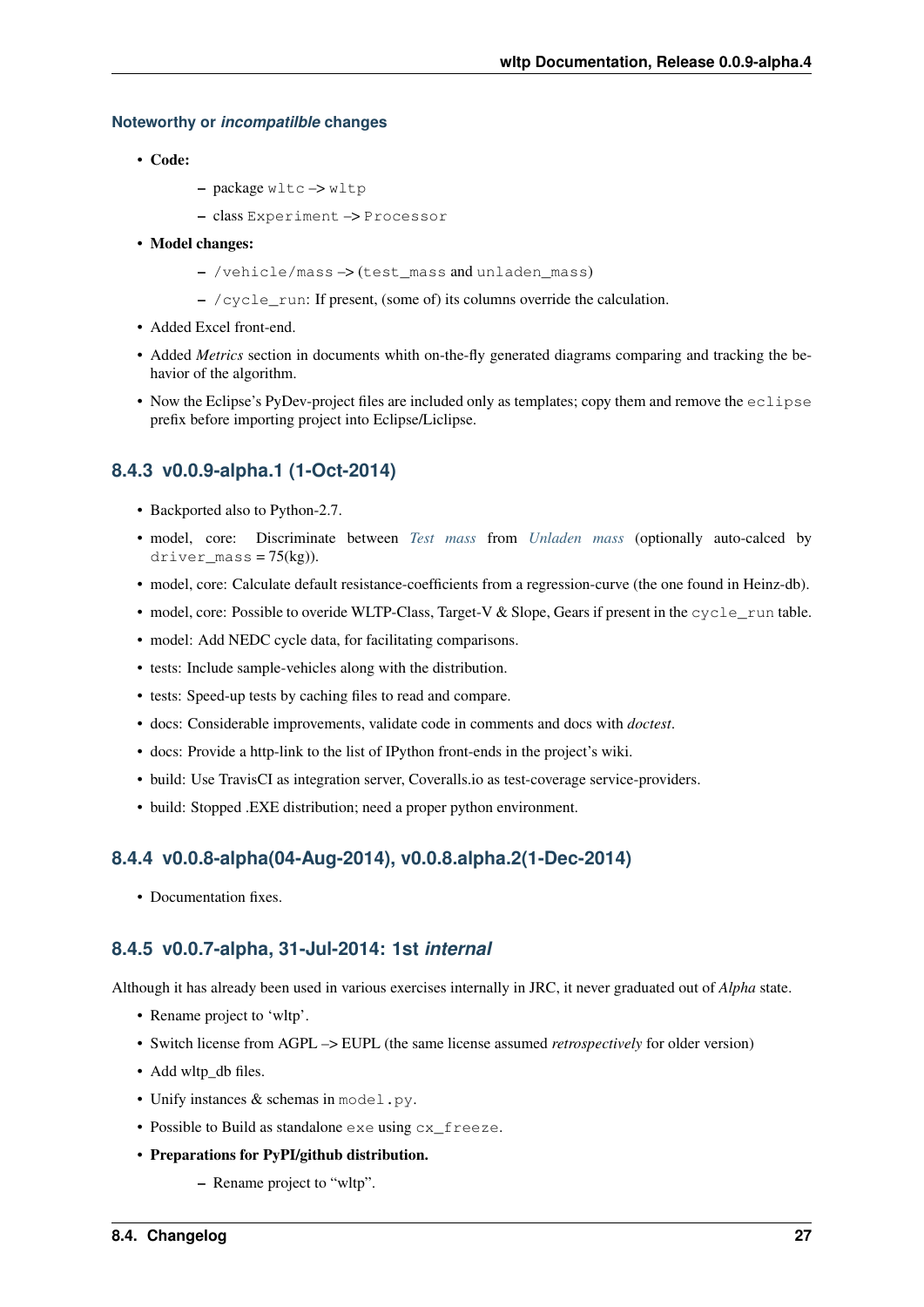#### <span id="page-30-0"></span>**Noteworthy or** *incompatilble* **changes**

- Code:
- package wltc –> wltp
- class Experiment –> Processor
- Model changes:
	- /vehicle/mass –> (test\_mass and unladen\_mass)
	- $-$  /cycle run: If present, (some of) its columns override the calculation.
- Added Excel front-end.
- Added *Metrics* section in documents whith on-the-fly generated diagrams comparing and tracking the behavior of the algorithm.
- Now the Eclipse's PyDev-project files are included only as templates; copy them and remove the  $eclipse$ prefix before importing project into Eclipse/Liclipse.

#### <span id="page-30-1"></span>**8.4.3 v0.0.9-alpha.1 (1-Oct-2014)**

- Backported also to Python-2.7.
- model, core: Discriminate between *[Test mass](#page-34-8)* from *[Unladen mass](#page-34-9)* (optionally auto-calced by driver mass =  $75(kg)$ ).
- model, core: Calculate default resistance-coefficients from a regression-curve (the one found in Heinz-db).
- model, core: Possible to overide WLTP-Class, Target-V & Slope, Gears if present in the cycle\_run table.
- model: Add NEDC cycle data, for facilitating comparisons.
- tests: Include sample-vehicles along with the distribution.
- tests: Speed-up tests by caching files to read and compare.
- docs: Considerable improvements, validate code in comments and docs with *doctest*.
- docs: Provide a http-link to the list of IPython front-ends in the project's wiki.
- build: Use TravisCI as integration server, Coveralls.io as test-coverage service-providers.
- build: Stopped .EXE distribution; need a proper python environment.

#### <span id="page-30-2"></span>**8.4.4 v0.0.8-alpha(04-Aug-2014), v0.0.8.alpha.2(1-Dec-2014)**

• Documentation fixes.

#### <span id="page-30-3"></span>**8.4.5 v0.0.7-alpha, 31-Jul-2014: 1st** *internal*

Although it has already been used in various exercises internally in JRC, it never graduated out of *Alpha* state.

- Rename project to 'wltp'.
- Switch license from AGPL –> EUPL (the same license assumed *retrospectively* for older version)
- Add wltp\_db files.
- Unify instances & schemas in model.py.
- Possible to Build as standalone exe using cx\_freeze.
- Preparations for PyPI/github distribution.
	- Rename project to "wltp".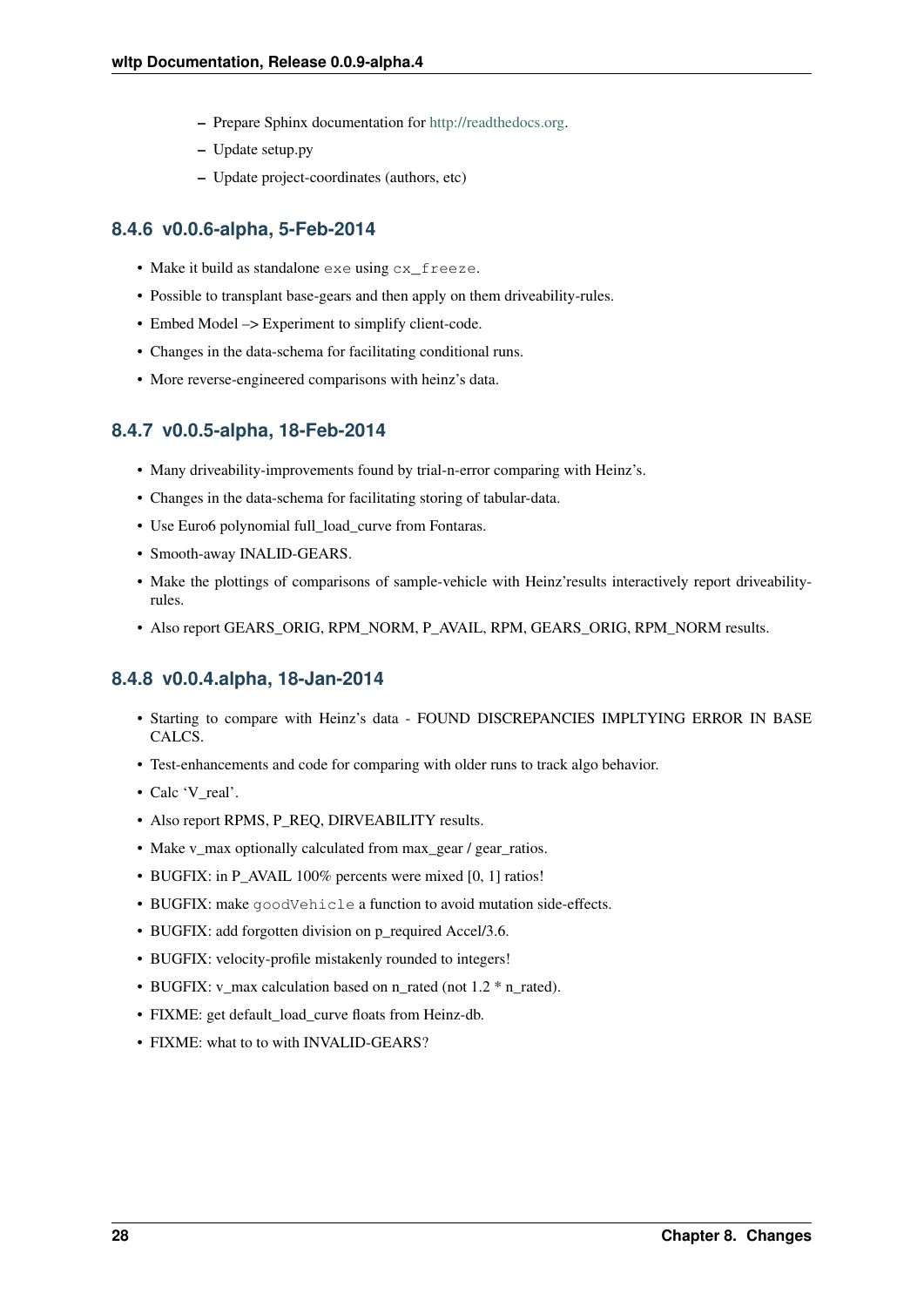- Prepare Sphinx documentation for [http://readthedocs.org.](http://readthedocs.org)
- Update setup.py
- Update project-coordinates (authors, etc)

#### <span id="page-31-0"></span>**8.4.6 v0.0.6-alpha, 5-Feb-2014**

- Make it build as standalone exe using cx\_freeze.
- Possible to transplant base-gears and then apply on them driveability-rules.
- Embed Model –> Experiment to simplify client-code.
- Changes in the data-schema for facilitating conditional runs.
- More reverse-engineered comparisons with heinz's data.

#### <span id="page-31-1"></span>**8.4.7 v0.0.5-alpha, 18-Feb-2014**

- Many driveability-improvements found by trial-n-error comparing with Heinz's.
- Changes in the data-schema for facilitating storing of tabular-data.
- Use Euro6 polynomial full\_load\_curve from Fontaras.
- Smooth-away INALID-GEARS.
- Make the plottings of comparisons of sample-vehicle with Heinz'results interactively report driveabilityrules.
- Also report GEARS\_ORIG, RPM\_NORM, P\_AVAIL, RPM, GEARS\_ORIG, RPM\_NORM results.

#### <span id="page-31-2"></span>**8.4.8 v0.0.4.alpha, 18-Jan-2014**

- Starting to compare with Heinz's data FOUND DISCREPANCIES IMPLTYING ERROR IN BASE CALCS.
- Test-enhancements and code for comparing with older runs to track algo behavior.
- Calc 'V\_real'.
- Also report RPMS, P\_REQ, DIRVEABILITY results.
- Make v\_max optionally calculated from max\_gear / gear\_ratios.
- BUGFIX: in P\_AVAIL 100% percents were mixed [0, 1] ratios!
- BUGFIX: make goodVehicle a function to avoid mutation side-effects.
- BUGFIX: add forgotten division on p\_required Accel/3.6.
- BUGFIX: velocity-profile mistakenly rounded to integers!
- BUGFIX: v\_max calculation based on n\_rated (not 1.2  $*$  n\_rated).
- FIXME: get default load curve floats from Heinz-db.
- FIXME: what to to with INVALID-GEARS?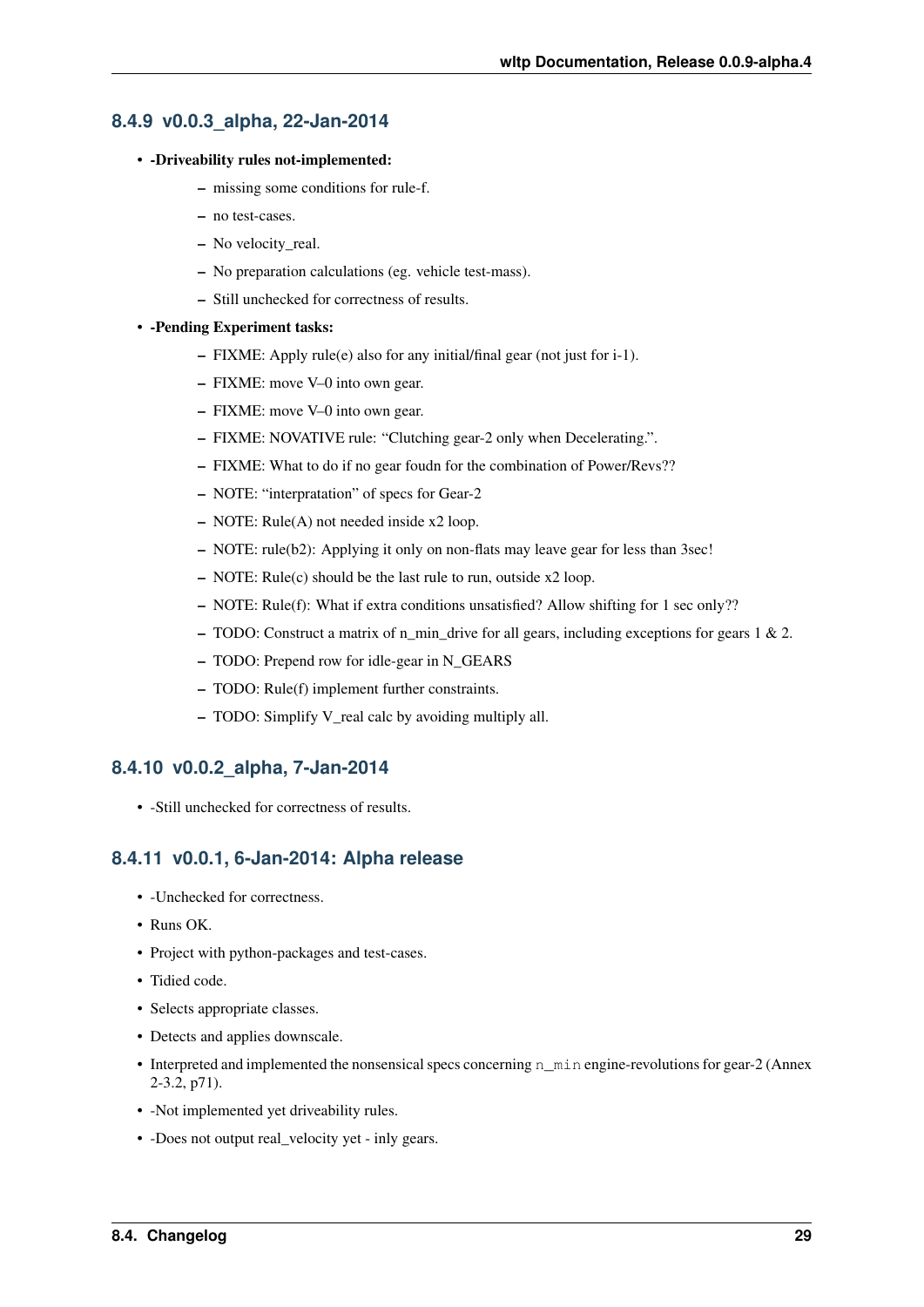#### <span id="page-32-0"></span>**8.4.9 v0.0.3\_alpha, 22-Jan-2014**

#### • -Driveability rules not-implemented:

- missing some conditions for rule-f.
- no test-cases.
- No velocity\_real.
- No preparation calculations (eg. vehicle test-mass).
- Still unchecked for correctness of results.

#### • -Pending Experiment tasks:

- FIXME: Apply rule(e) also for any initial/final gear (not just for i-1).
- FIXME: move V–0 into own gear.
- FIXME: move V–0 into own gear.
- FIXME: NOVATIVE rule: "Clutching gear-2 only when Decelerating.".
- FIXME: What to do if no gear foudn for the combination of Power/Revs??
- NOTE: "interpratation" of specs for Gear-2
- NOTE: Rule(A) not needed inside x2 loop.
- NOTE: rule(b2): Applying it only on non-flats may leave gear for less than 3sec!
- NOTE: Rule(c) should be the last rule to run, outside x2 loop.
- NOTE: Rule(f): What if extra conditions unsatisfied? Allow shifting for 1 sec only??
- TODO: Construct a matrix of n\_min\_drive for all gears, including exceptions for gears 1 & 2.
- TODO: Prepend row for idle-gear in N\_GEARS
- TODO: Rule(f) implement further constraints.
- TODO: Simplify V\_real calc by avoiding multiply all.

#### <span id="page-32-1"></span>**8.4.10 v0.0.2\_alpha, 7-Jan-2014**

• -Still unchecked for correctness of results.

#### <span id="page-32-2"></span>**8.4.11 v0.0.1, 6-Jan-2014: Alpha release**

- -Unchecked for correctness.
- Runs OK.
- Project with python-packages and test-cases.
- Tidied code.
- Selects appropriate classes.
- Detects and applies downscale.
- Interpreted and implemented the nonsensical specs concerning n\_min engine-revolutions for gear-2 (Annex 2-3.2, p71).
- -Not implemented yet driveability rules.
- -Does not output real\_velocity yet inly gears.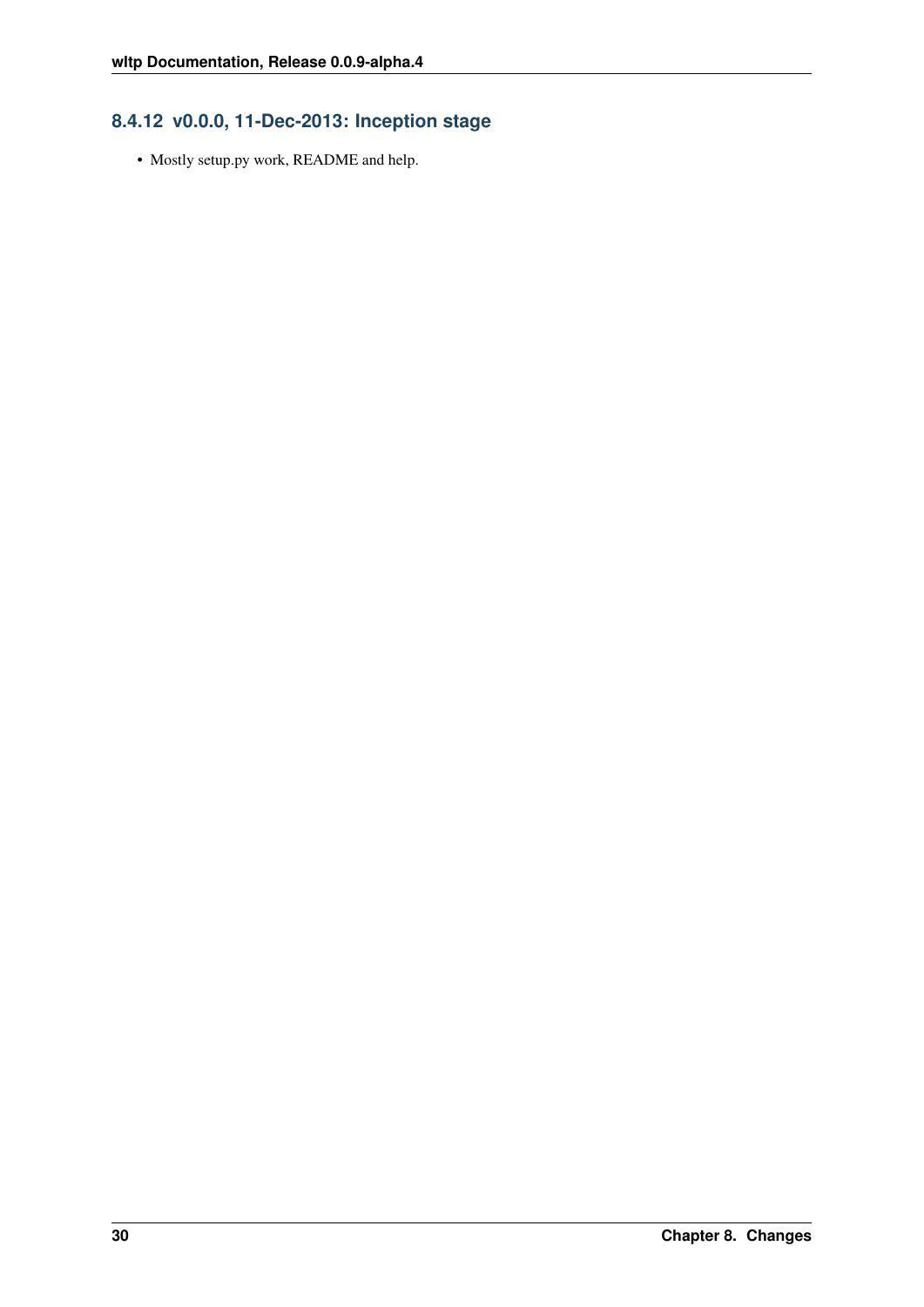### <span id="page-33-0"></span>**8.4.12 v0.0.0, 11-Dec-2013: Inception stage**

• Mostly setup.py work, README and help.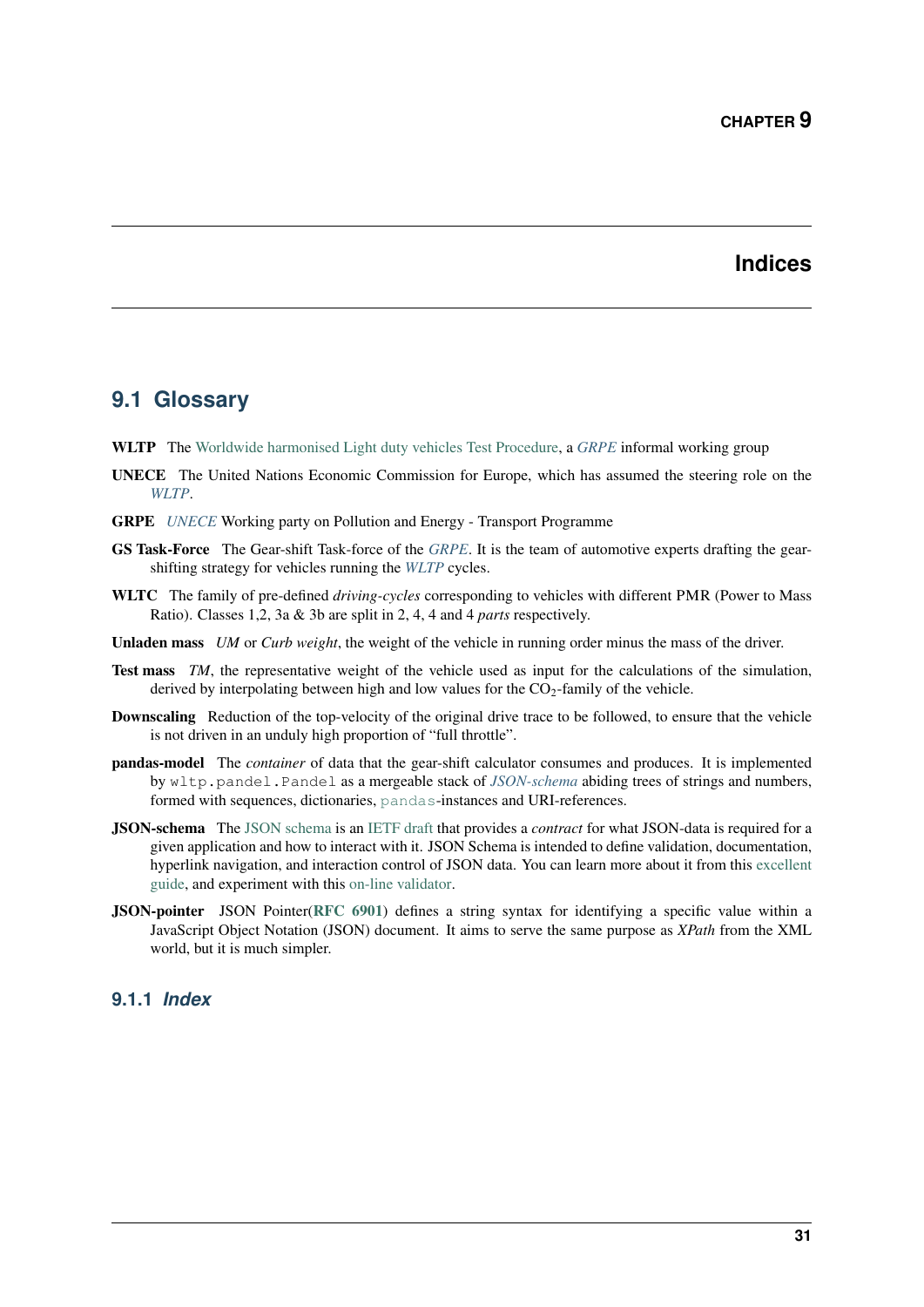### **Indices**

#### <span id="page-34-11"></span><span id="page-34-1"></span><span id="page-34-0"></span>**9.1 Glossary**

- <span id="page-34-2"></span>WLTP The [Worldwide harmonised Light duty vehicles Test Procedure,](https://www2.unece.org/wiki/pages/viewpage.action?pageId=2523179) a *[GRPE](#page-34-10)* informal working group
- <span id="page-34-3"></span>UNECE The United Nations Economic Commission for Europe, which has assumed the steering role on the *[WLTP](#page-34-2)*.
- <span id="page-34-10"></span>GRPE *[UNECE](#page-34-3)* Working party on Pollution and Energy - Transport Programme
- <span id="page-34-7"></span>GS Task-Force The Gear-shift Task-force of the *[GRPE](#page-34-10)*. It is the team of automotive experts drafting the gearshifting strategy for vehicles running the *[WLTP](#page-34-2)* cycles.
- <span id="page-34-4"></span>WLTC The family of pre-defined *driving-cycles* corresponding to vehicles with different PMR (Power to Mass Ratio). Classes 1,2, 3a & 3b are split in 2, 4, 4 and 4 *parts* respectively.
- <span id="page-34-9"></span>Unladen mass *UM* or *Curb weight*, the weight of the vehicle in running order minus the mass of the driver.
- <span id="page-34-8"></span>Test mass *TM*, the representative weight of the vehicle used as input for the calculations of the simulation, derived by interpolating between high and low values for the  $CO<sub>2</sub>$ -family of the vehicle.
- Downscaling Reduction of the top-velocity of the original drive trace to be followed, to ensure that the vehicle is not driven in an unduly high proportion of "full throttle".
- <span id="page-34-5"></span>pandas-model The *container* of data that the gear-shift calculator consumes and produces. It is implemented by wltp.pandel.Pandel as a mergeable stack of *[JSON-schema](#page-34-6)* abiding trees of strings and numbers, formed with sequences, dictionaries, [pandas](http://pandas.pydata.org/pandas-docs/dev/index.html#module-pandas)-instances and URI-references.
- <span id="page-34-6"></span>JSON-schema The [JSON schema](http://json-schema.org/) is an [IETF draft](http://tools.ietf.org/html/draft-zyp-json-schema-03) that provides a *contract* for what JSON-data is required for a given application and how to interact with it. JSON Schema is intended to define validation, documentation, hyperlink navigation, and interaction control of JSON data. You can learn more about it from this [excellent](http://spacetelescope.github.io/understanding-json-schema/) [guide,](http://spacetelescope.github.io/understanding-json-schema/) and experiment with this [on-line validator.](http://www.jsonschema.net/)
- JSON-pointer JSON Pointer([RFC 6901](http://tools.ietf.org/html/rfc6901.html)) defines a string syntax for identifying a specific value within a JavaScript Object Notation (JSON) document. It aims to serve the same purpose as *XPath* from the XML world, but it is much simpler.

#### **9.1.1** *Index*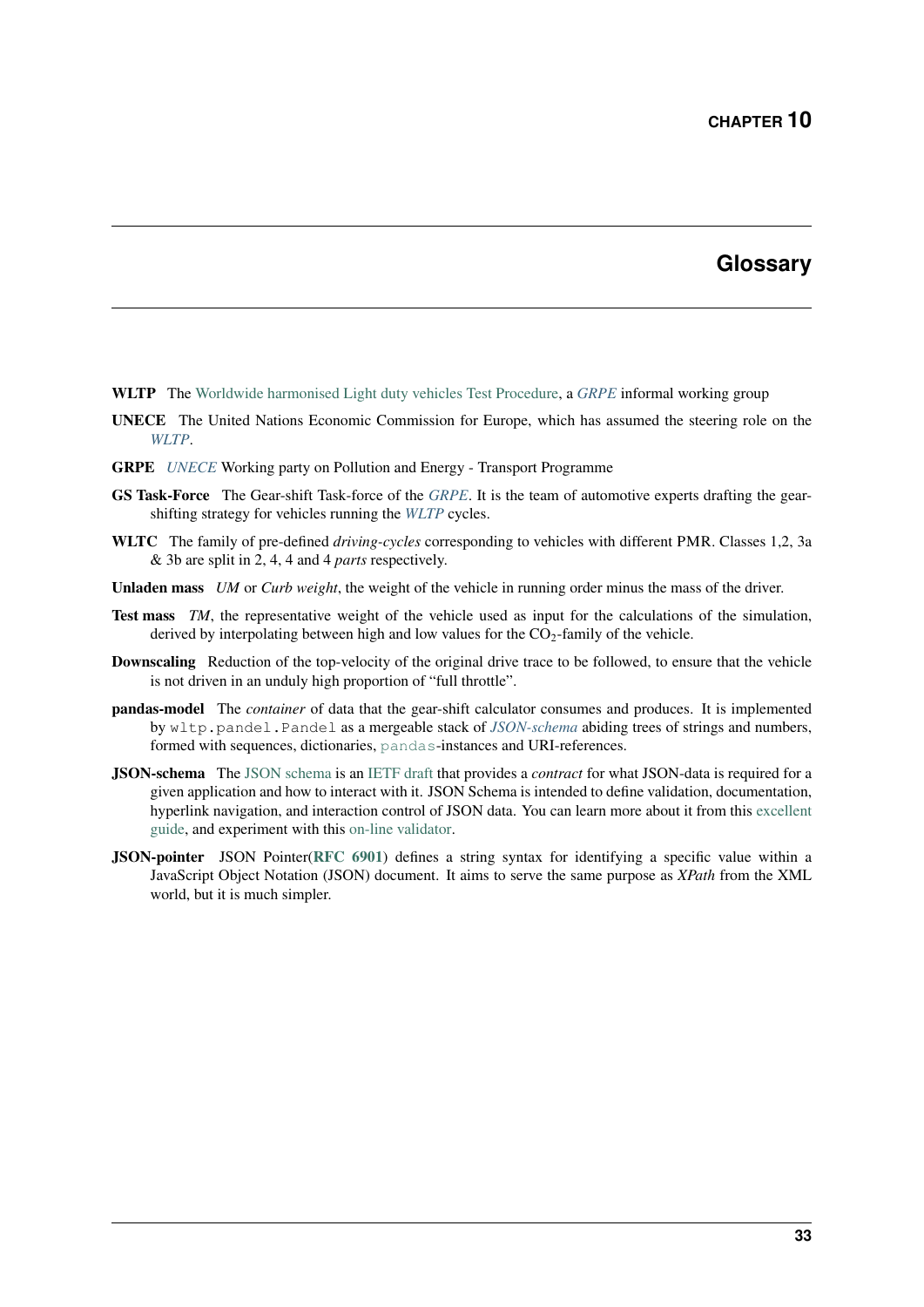### **Glossary**

- <span id="page-36-1"></span><span id="page-36-0"></span>WLTP The [Worldwide harmonised Light duty vehicles Test Procedure,](https://www2.unece.org/wiki/pages/viewpage.action?pageId=2523179) a *[GRPE](#page-34-10)* informal working group
- UNECE The United Nations Economic Commission for Europe, which has assumed the steering role on the *[WLTP](#page-34-2)*.
- GRPE *[UNECE](#page-34-3)* Working party on Pollution and Energy Transport Programme
- GS Task-Force The Gear-shift Task-force of the *[GRPE](#page-34-10)*. It is the team of automotive experts drafting the gearshifting strategy for vehicles running the *[WLTP](#page-34-2)* cycles.
- WLTC The family of pre-defined *driving-cycles* corresponding to vehicles with different PMR. Classes 1,2, 3a & 3b are split in 2, 4, 4 and 4 *parts* respectively.
- Unladen mass *UM* or *Curb weight*, the weight of the vehicle in running order minus the mass of the driver.
- Test mass *TM*, the representative weight of the vehicle used as input for the calculations of the simulation, derived by interpolating between high and low values for the  $CO_2$ -family of the vehicle.
- Downscaling Reduction of the top-velocity of the original drive trace to be followed, to ensure that the vehicle is not driven in an unduly high proportion of "full throttle".
- pandas-model The *container* of data that the gear-shift calculator consumes and produces. It is implemented by wltp.pandel.Pandel as a mergeable stack of *[JSON-schema](#page-34-6)* abiding trees of strings and numbers, formed with sequences, dictionaries, [pandas](http://pandas.pydata.org/pandas-docs/dev/index.html#module-pandas)-instances and URI-references.
- JSON-schema The [JSON schema](http://json-schema.org/) is an [IETF draft](http://tools.ietf.org/html/draft-zyp-json-schema-03) that provides a *contract* for what JSON-data is required for a given application and how to interact with it. JSON Schema is intended to define validation, documentation, hyperlink navigation, and interaction control of JSON data. You can learn more about it from this [excellent](http://spacetelescope.github.io/understanding-json-schema/) [guide,](http://spacetelescope.github.io/understanding-json-schema/) and experiment with this [on-line validator.](http://www.jsonschema.net/)
- JSON-pointer JSON Pointer([RFC 6901](http://tools.ietf.org/html/rfc6901.html)) defines a string syntax for identifying a specific value within a JavaScript Object Notation (JSON) document. It aims to serve the same purpose as *XPath* from the XML world, but it is much simpler.